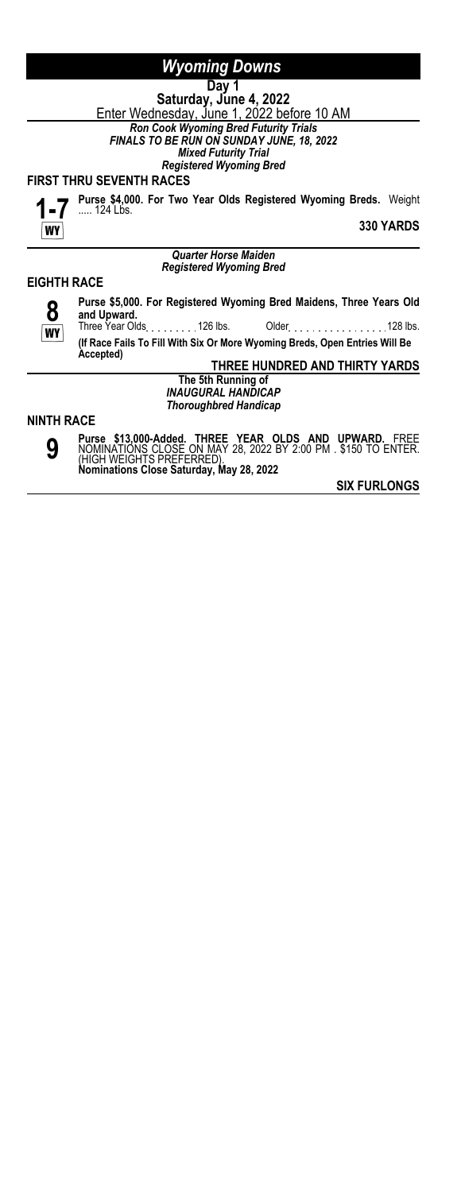#### **Day 1 Saturday, June 4, 2022** <u>Enter Wednesday, June 1, 2022 before 10 AM</u> *Ron Cook Wyoming Bred Futurity Trials FINALS TO BE RUN ON SUNDAY JUNE, 18, 2022 Mixed Futurity Trial Registered Wyoming Bred*

#### **FIRST THRU SEVENTH RACES**



**Purse \$4,000. For Two Year Olds Registered Wyoming Breds.** Weight ..... 124 Lbs.

**330 YARDS**

#### *Quarter Horse Maiden Registered Wyoming Bred*

### **EIGHTH RACE**



**Purse \$5,000. For Registered Wyoming Bred Maidens, Three Years Old and Upward.** Older . . . . . . . . . . . . . . . . . 128 lbs. **(If Race Fails To Fill With Six Or More Wyoming Breds, Open Entries Will Be Accepted)**

**THREE HUNDRED AND THIRTY YARDS**

**The 5th Running of** *INAUGURAL HANDICAP Thoroughbred Handicap*

#### **NINTH RACE**



**Purse \$13,000-Added. THREE YEAR OLDS AND UPWARD.** FREE NOMINATIONS CLOSE ON MAY 28, 2022 BY 2:00 PM . \$150 TO ENTER. (HIGH WEIGHTS PREFERRED). **Nominations Close Saturday, May 28, 2022**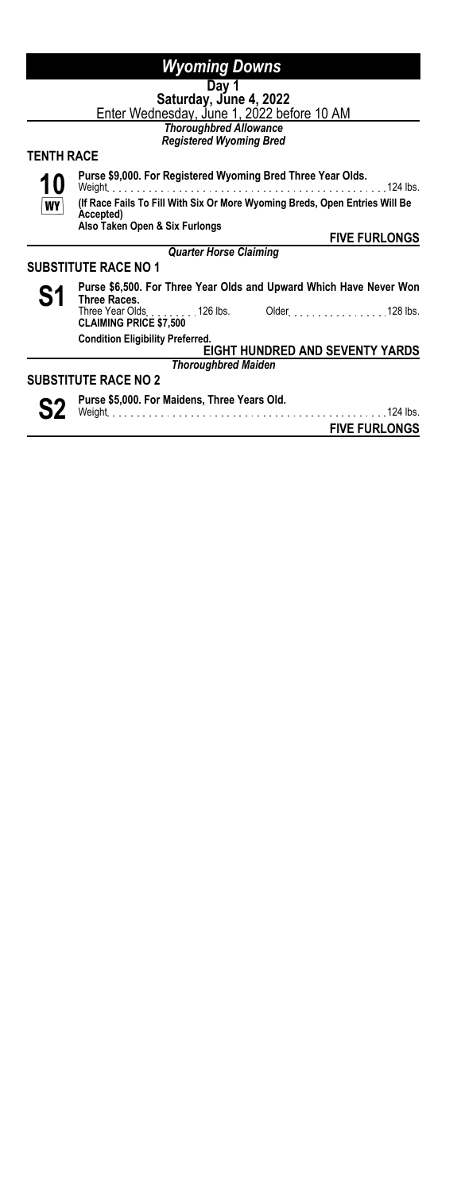# **Day 1**

**Saturday, June 4, 2022** <u>Enter Wednesday, June 1, 2022 before 10 AM</u>

*Thoroughbred Allowance Registered Wyoming Bred*

# **TENTH RACE**

**Purse \$9,000. For Registered Wyoming Bred Three Year Olds.**

**10 WY** 

Weight 124 lbs.

**(If Race Fails To Fill With Six Or More Wyoming Breds, Open Entries Will Be Accepted) Also Taken Open & Six Furlongs**

*Quarter Horse Claiming*

**FIVE FURLONGS**

### **SUBSTITUTE RACE NO 1**



S1 Purse \$6,500. For Three Year Olds and Upward Which Have Never Won **Three Races.** Older New York 128 lbs. **CLAIMING PRICE \$7,500** 126 lbs. **Condition Eligibility Preferred. EIGHT HUNDRED AND SEVENTY YARDS**

# *Thoroughbred Maiden*

# **SUBSTITUTE RACE NO 2**



**S2** Purse \$5,000. For Maidens, Three Years Old.<br>
weight 124 lbs.

**FIVE FURLONGS**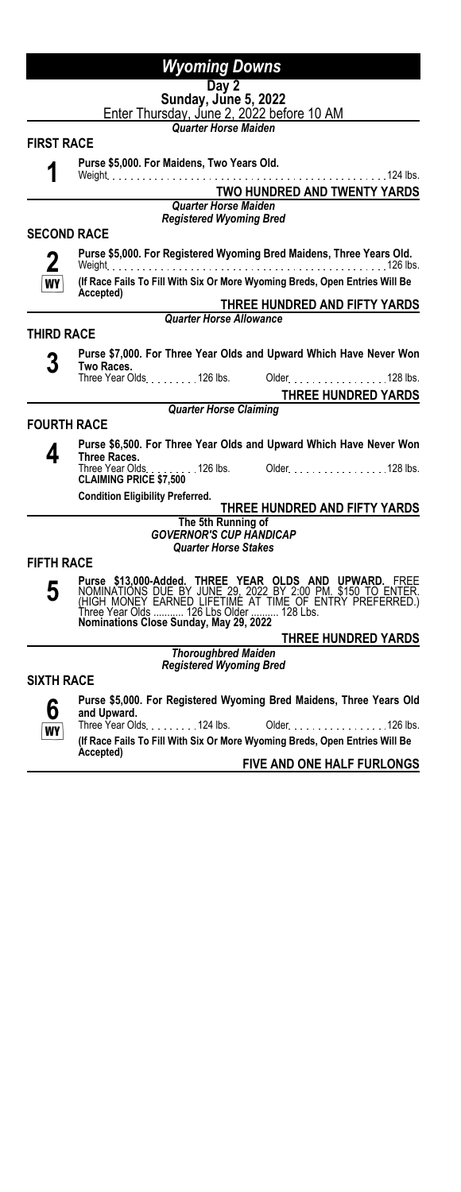#### **Day 2 Sunday, June 5, 2022**

Enter Thursday, June 2, 2022 before 10 AM

*Quarter Horse Maiden*

#### **FIRST RACE**

**1**

**Purse \$5,000. For Maidens, Two Years Old.**

Weight 124 lbs. **TWO HUNDRED AND TWENTY YARDS**

*Quarter Horse Maiden Registered Wyoming Bred*

### **SECOND RACE**

**2**

**Purse \$5,000. For Registered Wyoming Bred Maidens, Three Years Old.**

Weight 126 lbs. **(If Race Fails To Fill With Six Or More Wyoming Breds, Open Entries Will Be**

WY **Accepted)**

**THREE HUNDRED AND FIFTY YARDS** *Quarter Horse Allowance*

### **THIRD RACE**

**3 Purse \$7,000. For Three Year Olds and Upward Which Have Never Won Two Races.** Three Year Olds. . . . . . . . . 126 lbs. Older . . . . . . . . . . . . . . . . 128 lbs.

**THREE HUNDRED YARDS**

*Quarter Horse Claiming*

# **FOURTH RACE**

**4 Purse \$6,500. For Three Year Olds and Upward Which Have Never Won Three Races.** Older 128 lbs. **CLAIMING PRICE \$7,500** 126 lbs.<br>**CLAIMING PRICE \$7,500** 

**Condition Eligibility Preferred.**

### **THREE HUNDRED AND FIFTY YARDS**

#### **The 5th Running of** *GOVERNOR'S CUP HANDICAP Quarter Horse Stakes*

#### **FIFTH RACE**

**5**

Purse \$13,000-Added. THREE YEAR OLDS AND UPWARD. FREE<br>NOMINATIONS DUE BY JUNE 29, 2022 BY 2:00 PM. \$150 TO ENTER.<br>(HIGH MONEY EARNED LIFETIME AT TIME OF ENTRY PREFERRED.)<br>Three Year Olds .......... 126 Lbs Older ..........

**THREE HUNDRED YARDS**

*Thoroughbred Maiden Registered Wyoming Bred*

### **SIXTH RACE**



**Purse \$5,000. For Registered Wyoming Bred Maidens, Three Years Old and Upward.**

Older No. 100 lbs. 2010 lbs. **(If Race Fails To Fill With Six Or More Wyoming Breds, Open Entries Will Be Accepted)**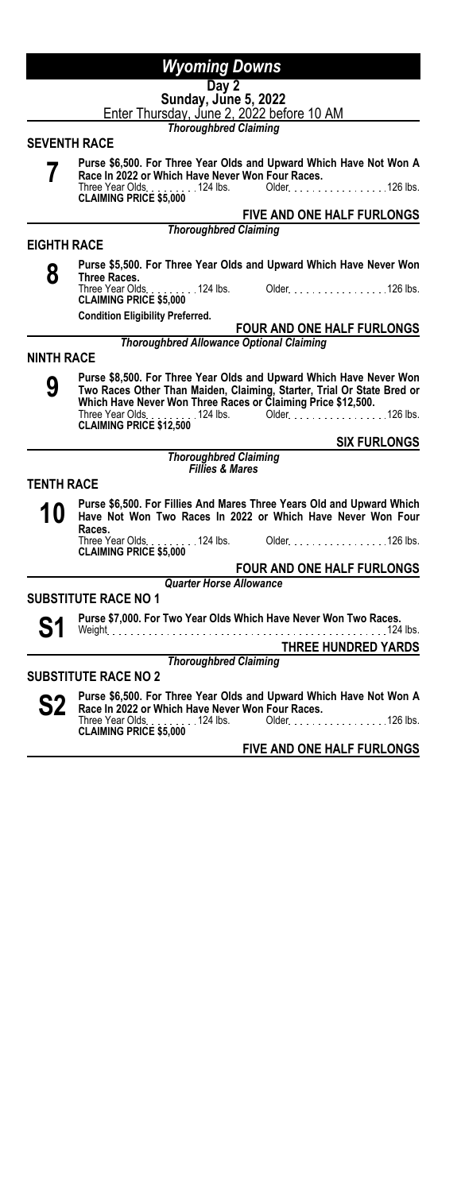|                     | <b>Wyoming Downs</b>                                                                                                                                                                                                                                                                 |
|---------------------|--------------------------------------------------------------------------------------------------------------------------------------------------------------------------------------------------------------------------------------------------------------------------------------|
|                     | Day 2<br>Sunday, June 5, 2022<br>Enter Thursday, June 2, 2022 before 10 AM                                                                                                                                                                                                           |
|                     | <b>Thoroughbred Claiming</b>                                                                                                                                                                                                                                                         |
| <b>SEVENTH RACE</b> |                                                                                                                                                                                                                                                                                      |
|                     | Purse \$6,500. For Three Year Olds and Upward Which Have Not Won A<br>Race In 2022 or Which Have Never Won Four Races.<br>Three Year Olds. 124 lbs. Older. 126 lbs.<br><b>CLAIMING PRICE \$5,000</b>                                                                                 |
|                     | FIVE AND ONE HALF FURLONGS                                                                                                                                                                                                                                                           |
|                     | <b>Thoroughbred Claiming</b>                                                                                                                                                                                                                                                         |
| <b>EIGHTH RACE</b>  |                                                                                                                                                                                                                                                                                      |
| 8                   | Purse \$5,500. For Three Year Olds and Upward Which Have Never Won<br>Three Races.                                                                                                                                                                                                   |
|                     | Three Year Olds. 124 lbs. Older. 126 lbs.<br><b>CLAIMING PRICE \$5,000</b>                                                                                                                                                                                                           |
|                     | <b>Condition Eligibility Preferred.</b><br><b>FOUR AND ONE HALF FURLONGS</b>                                                                                                                                                                                                         |
|                     | <b>Thoroughbred Allowance Optional Claiming</b>                                                                                                                                                                                                                                      |
| <b>NINTH RACE</b>   |                                                                                                                                                                                                                                                                                      |
| 9                   | Purse \$8,500. For Three Year Olds and Upward Which Have Never Won<br>Two Races Other Than Maiden, Claiming, Starter, Trial Or State Bred or<br>Which Have Never Won Three Races or Claiming Price \$12,500.<br>Three Year Olds. 124 lbs. Older. 126 lbs.<br>CLAIMING PRICE \$12,500 |
|                     | <b>SIX FURLONGS</b>                                                                                                                                                                                                                                                                  |
|                     | <b>Thoroughbred Claiming</b>                                                                                                                                                                                                                                                         |
|                     | <b>Fillies &amp; Mares</b>                                                                                                                                                                                                                                                           |
| <b>TENTH RACE</b>   |                                                                                                                                                                                                                                                                                      |
| 10                  | Purse \$6,500. For Fillies And Mares Three Years Old and Upward Which<br>Have Not Won Two Races In 2022 or Which Have Never Won Four<br>Races.                                                                                                                                       |
|                     | Three Year Olds. 124 lbs. Older. 126 lbs.<br><b>CLAIMING PRICE \$5,000</b>                                                                                                                                                                                                           |
|                     | <b>FOUR AND ONE HALF FURLONGS</b>                                                                                                                                                                                                                                                    |
|                     | <b>Quarter Horse Allowance</b>                                                                                                                                                                                                                                                       |
|                     | <b>SUBSTITUTE RACE NO 1</b>                                                                                                                                                                                                                                                          |
|                     | Purse \$7,000. For Two Year Olds Which Have Never Won Two Races.<br>124 lbs.                                                                                                                                                                                                         |
|                     | THREE HUNDRED YARDS                                                                                                                                                                                                                                                                  |
|                     | <b>Thoroughbred Claiming</b>                                                                                                                                                                                                                                                         |
|                     | <b>SUBSTITUTE RACE NO 2</b>                                                                                                                                                                                                                                                          |

**S2** Purse \$6,500. For Three Year Olds and Upward Which Have Not Won A<br>
Three Year Olds 1202 or Which Have Never Won Four Races.<br>
CLAIMING PRICE \$5,000<br>
CLAIMING PRICE \$5,000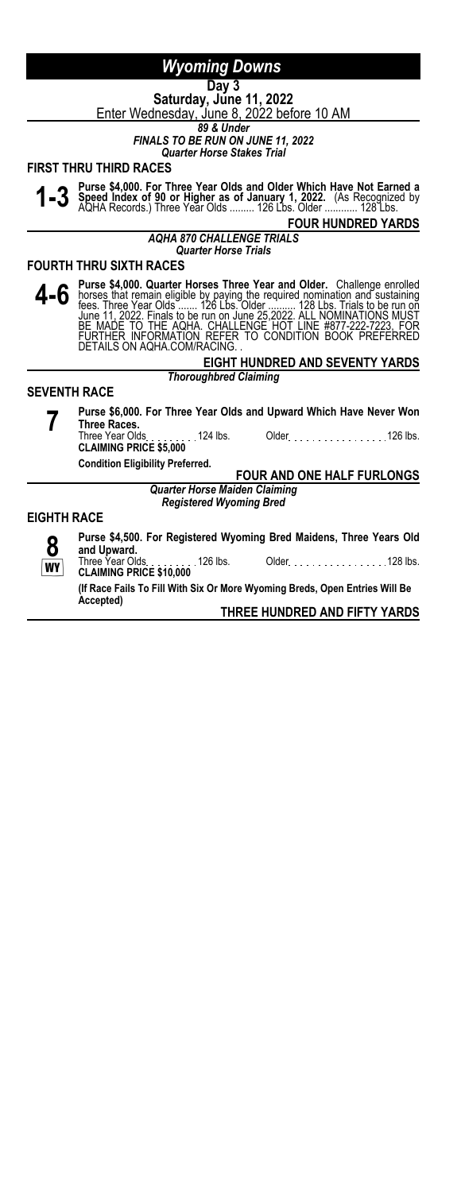# **Day 3**

**Saturday, June 11, 2022** Enter Wednesday, June 8, 2022 before 10 AM

*89 & Under*

*FINALS TO BE RUN ON JUNE 11, 2022*

*Quarter Horse Stakes Trial*

#### **FIRST THRU THIRD RACES**



1-3 Purse \$4,000. For Three Year Olds and Older Which Have Not Earned a<br>1-3 Speed Index of 90 or Higher as of January 1, 2022. (As Recognized by<br>AQHA Records.) Three Year Olds ......... 126 Lbs. Older ........... 128 Lbs.

# **FOUR HUNDRED YARDS**

*AQHA 870 CHALLENGE TRIALS Quarter Horse Trials*

**FOURTH THRU SIXTH RACES**

4 - 6 Purse \$4,000. Quarter Horses Three Year and Older. Challenge enrolled<br>forest that remain eligible by paying the required nomination and sustaining<br>fees. Three Year Olds ...... 126 Lbs. Older .......... 128 Lbs. Trial

#### **EIGHT HUNDRED AND SEVENTY YARDS** *Thoroughbred Claiming*

#### **SEVENTH RACE**

**7 Purse \$6,000. For Three Year Olds and Upward Which Have Never Won Three Races.** Older National 2010 lbs. **CLAIMING PRICE \$5,000**<br>**CLAIMING PRICE \$5,000** 

**Condition Eligibility Preferred.**

**FOUR AND ONE HALF FURLONGS**

*Quarter Horse Maiden Claiming Registered Wyoming Bred*

#### **EIGHTH RACE**

**8** Ö **Purse \$4,500. For Registered Wyoming Bred Maidens, Three Years Old and Upward.**<br>Three Year Olds Older National 2010 128 lbs. **CLAIMING PRICE \$10,000**<br>**CLAIMING PRICE \$10,000** 

**(If Race Fails To Fill With Six Or More Wyoming Breds, Open Entries Will Be Accepted)**

**THREE HUNDRED AND FIFTY YARDS**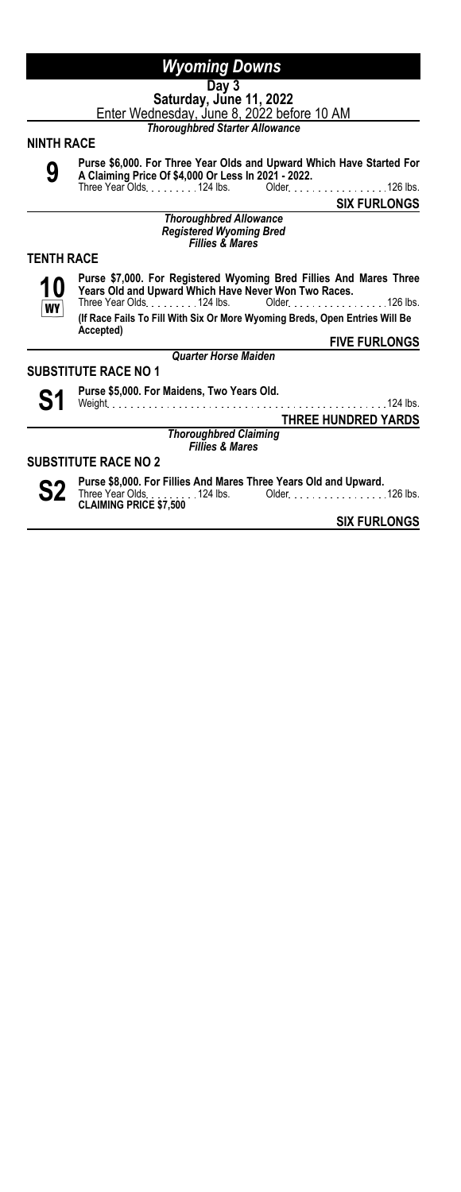#### **Day 3 Saturday, June 11, 2022**

Enter Wednesday, June 8, 2022 before 10 AM

*Thoroughbred Starter Allowance*

#### **NINTH RACE**

**9**

**Purse \$6,000. For Three Year Olds and Upward Which Have Started For A Claiming Price Of \$4,000 Or Less In 2021 - 2022.** Three Year Olds. . . . . . . . . 124 lbs. Older. . . . . . . . . . . . . . . . . 126 lbs.

**SIX FURLONGS**

*Thoroughbred Allowance Registered Wyoming Bred Fillies & Mares*

### **TENTH RACE**



**Purse \$7,000. For Registered Wyoming Bred Fillies And Mares Three Years Old and Upward Which Have Never Won Two Races.** Three Year Olds. . . . . . . . . 124 lbs. Older . . . . . . . . . . . . . . . . 126 lbs.

**(If Race Fails To Fill With Six Or More Wyoming Breds, Open Entries Will Be Accepted)**

**FIVE FURLONGS** *Quarter Horse Maiden*

#### **SUBSTITUTE RACE NO 1**



**S1 Purse \$5,000. For Maidens, Two Years Old.** Weight 124 lbs.

**THREE HUNDRED YARDS**

*Thoroughbred Claiming Fillies & Mares*

#### **SUBSTITUTE RACE NO 2**



**S2 Purse \$8,000. For Fillies And Mares Three Years Old and Upward.**<br>
CLAIMING PRICE \$7,500<br>
CLAIMING PRICE \$7,500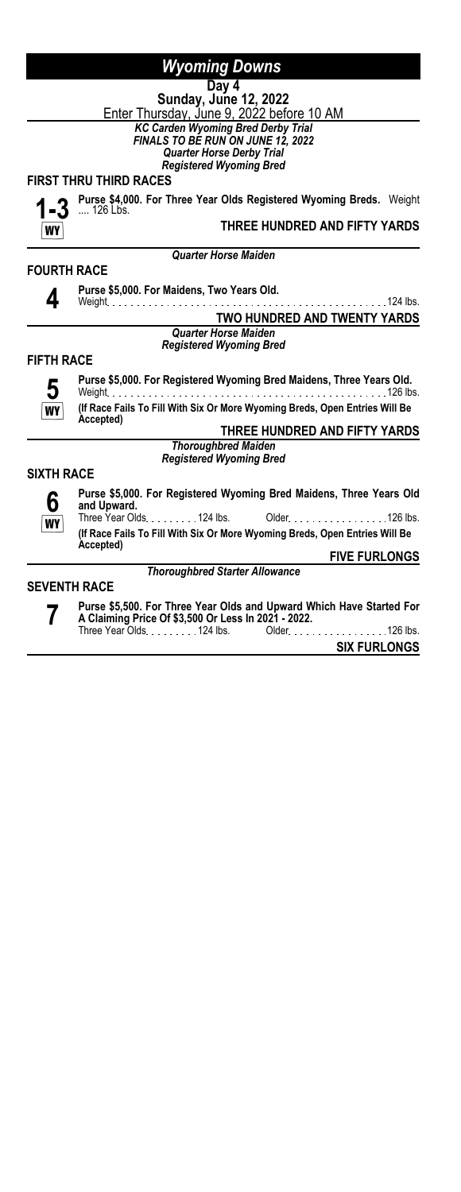**Day 4 Sunday, June 12, 2022** <u>Enter Thursday, June 9, 2022 before 10 AM</u> *KC Carden Wyoming Bred Derby Trial*

*FINALS TO BE RUN ON JUNE 12, 2022*

*Quarter Horse Derby Trial Registered Wyoming Bred*

*Quarter Horse Maiden*

### **FIRST THRU THIRD RACES**



**Purse \$4,000. For Three Year Olds Registered Wyoming Breds.** Weight .... 126 Lbs.

### **THREE HUNDRED AND FIFTY YARDS**

**FOURTH RACE**



**Purse \$5,000. For Maidens, Two Years Old.** Weight 124 lbs. **TWO HUNDRED AND TWENTY YARDS**

#### *Quarter Horse Maiden*

*Registered Wyoming Bred*

#### **FIFTH RACE**



**Purse \$5,000. For Registered Wyoming Bred Maidens, Three Years Old.** Weight 126 lbs.

**(If Race Fails To Fill With Six Or More Wyoming Breds, Open Entries Will Be Accepted)**

**THREE HUNDRED AND FIFTY YARDS** *Thoroughbred Maiden Registered Wyoming Bred*

**SIXTH RACE**



**Purse \$5,000. For Registered Wyoming Bred Maidens, Three Years Old and Upward.** Older New York 126 lbs.

**(If Race Fails To Fill With Six Or More Wyoming Breds, Open Entries Will Be Accepted)**

*Thoroughbred Starter Allowance*

**FIVE FURLONGS**

### **SEVENTH RACE**



**Purse \$5,500. For Three Year Olds and Upward Which Have Started For A Claiming Price Of \$3,500 Or Less In 2021 - 2022.** Older No. 100 lbs. 126 lbs.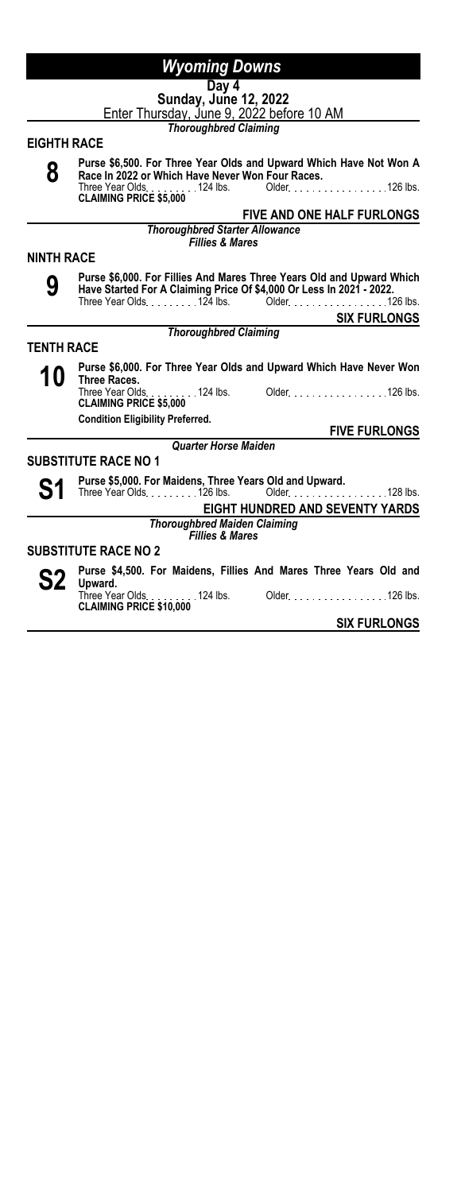|                    | <b>Wyoming Downs</b>                                                                                                                                                                                    |
|--------------------|---------------------------------------------------------------------------------------------------------------------------------------------------------------------------------------------------------|
|                    | Day 4<br><b>Sunday, June 12, 2022</b><br>Enter Thursday, June 9, 2022 before 10 AM                                                                                                                      |
|                    | <b>Thoroughbred Claiming</b>                                                                                                                                                                            |
| <b>EIGHTH RACE</b> |                                                                                                                                                                                                         |
| 8                  | Purse \$6,500. For Three Year Olds and Upward Which Have Not Won A<br>Race In 2022 or Which Have Never Won Four Races.<br>Older. 126 lbs.<br>Three Year Olds. 124 lbs.<br><b>CLAIMING PRICE \$5,000</b> |
|                    | <b>FIVE AND ONE HALF FURLONGS</b>                                                                                                                                                                       |
|                    | <b>Thoroughbred Starter Allowance</b><br><b>Fillies &amp; Mares</b>                                                                                                                                     |
| <b>NINTH RACE</b>  |                                                                                                                                                                                                         |
| 9                  | Purse \$6,000. For Fillies And Mares Three Years Old and Upward Which<br>Have Started For A Claiming Price Of \$4,000 Or Less In 2021 - 2022.<br>Three Year Olds. 124 lbs. Older. 126 lbs.              |
|                    | <b>SIX FURLONGS</b>                                                                                                                                                                                     |
|                    | <b>Thoroughbred Claiming</b>                                                                                                                                                                            |
| <b>TENTH RACE</b>  |                                                                                                                                                                                                         |
| 10                 | Purse \$6,000. For Three Year Olds and Upward Which Have Never Won<br>Three Races.                                                                                                                      |
|                    | Three Year Olds. 124 lbs. Older. 126 lbs.<br><b>CLAIMING PRICE \$5,000</b>                                                                                                                              |
|                    | <b>Condition Eligibility Preferred.</b><br><b>FIVE FURLONGS</b>                                                                                                                                         |
|                    | <b>Quarter Horse Maiden</b>                                                                                                                                                                             |
|                    | <b>SUBSTITUTE RACE NO 1</b>                                                                                                                                                                             |
|                    | Purse \$5,000. For Maidens, Three Years Old and Upward.<br>$128$ lbs.<br>Three Year Olds126 lbs. Older                                                                                                  |
|                    | EIGHT HUNDRED AND SEVENTY YARDS                                                                                                                                                                         |
|                    | <b>Thoroughbred Maiden Claiming</b><br><b>Fillies &amp; Mares</b>                                                                                                                                       |
|                    | <b>SUBSTITUTE RACE NO 2</b>                                                                                                                                                                             |
|                    | Purse \$4,500. For Maidens, Fillies And Mares Three Years Old and<br>Upward.                                                                                                                            |
|                    | Three Year Olds. 124 lbs.<br>Older. 126 lbs.<br><b>CLAIMING PRICE \$10,000</b>                                                                                                                          |
|                    | <b>SIX FURLONGS</b>                                                                                                                                                                                     |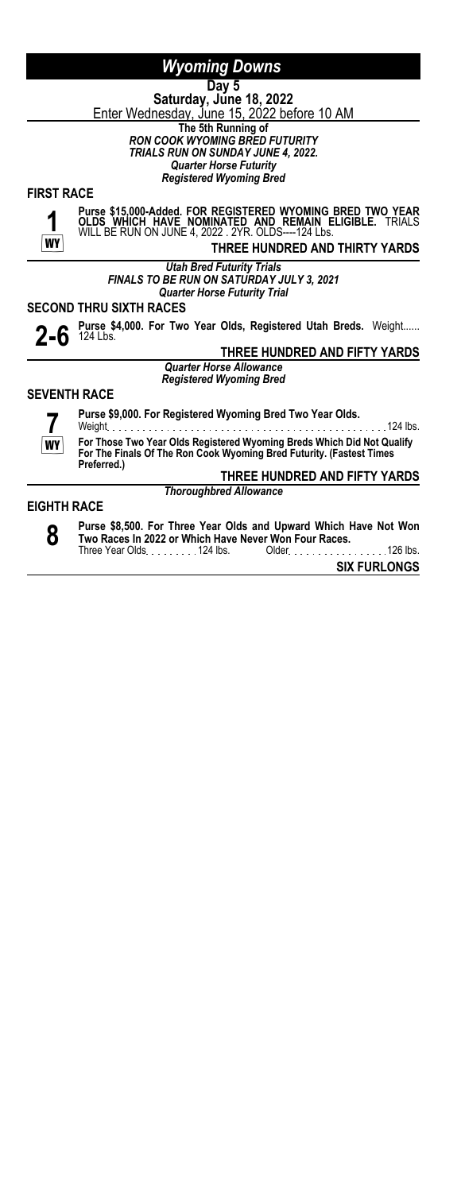**Day 5 Saturday, June 18, 2022** <u>Enter Wednesday, June 15, 2022 before 10 AM</u> **The 5th Running of** *RON COOK WYOMING BRED FUTURITY*

*TRIALS RUN ON SUNDAY JUNE 4, 2022.*

*Quarter Horse Futurity Registered Wyoming Bred*

**FIRST RACE**



**Purse \$15,000-Added. FOR REGISTERED WYOMING BRED TWO YEAR OLDS WHICH HAVE NOMINATED AND REMAIN ELIGIBLE.** TRIALS WILL BE RUN ON JUNE 4, 2022 . 2YR. OLDS----124 Lbs.

**THREE HUNDRED AND THIRTY YARDS**

*Utah Bred Futurity Trials FINALS TO BE RUN ON SATURDAY JULY 3, 2021 Quarter Horse Futurity Trial*

**SECOND THRU SIXTH RACES**

**2-6 Purse \$4,000. For Two Year Olds, Registered Utah Breds.** Weight......<br>
TUREF UWRRED AND FIFTY VARDS.

#### **THREE HUNDRED AND FIFTY YARDS**

*Quarter Horse Allowance Registered Wyoming Bred*

#### **SEVENTH RACE**



**Purse \$9,000. For Registered Wyoming Bred Two Year Olds.**

Weight 124 lbs. **For Those Two Year Olds Registered Wyoming Breds Which Did Not Qualify For The Finals Of The Ron Cook Wyoming Bred Futurity. (Fastest Times Preferred.)**

#### **THREE HUNDRED AND FIFTY YARDS** *Thoroughbred Allowance*

#### **EIGHTH RACE**



**Purse \$8,500. For Three Year Olds and Upward Which Have Not Won Two Races In 2022 or Which Have Never Won Four Races.** Three Year Olds. . . . . . . . . 124 lbs. Older . . . . . . . . . . . . . . . 126 lbs.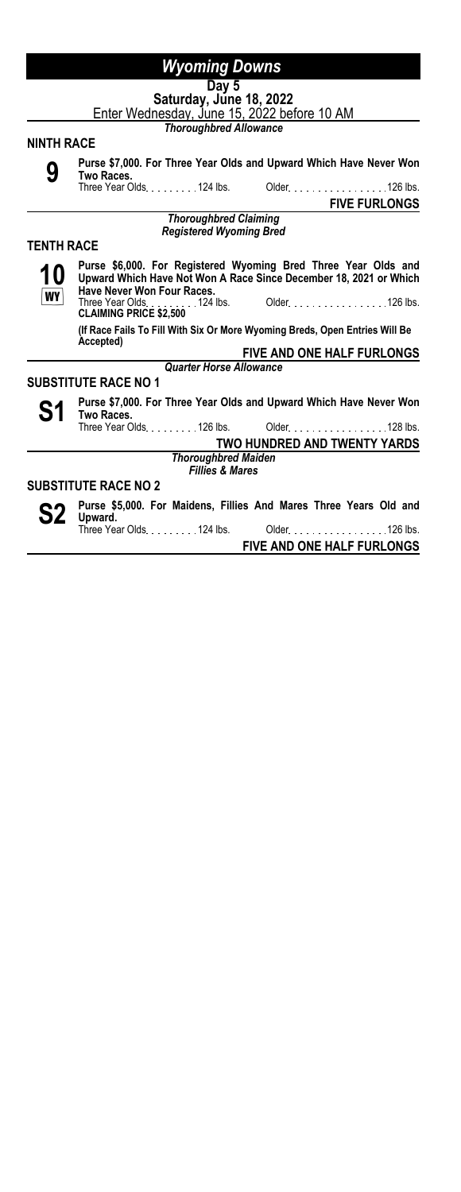|                   | $\overline{Day}$ 5                                                                                                                                                |
|-------------------|-------------------------------------------------------------------------------------------------------------------------------------------------------------------|
|                   | Saturday, June 18, 2022                                                                                                                                           |
|                   | Enter Wednesday, June 15, 2022 before 10 AM                                                                                                                       |
|                   | <b>Thoroughbred Allowance</b>                                                                                                                                     |
| <b>NINTH RACE</b> |                                                                                                                                                                   |
|                   |                                                                                                                                                                   |
| 9                 | Purse \$7,000. For Three Year Olds and Upward Which Have Never Won<br>Two Races.                                                                                  |
|                   | Three Year Olds. 124 lbs. Older. 126 lbs.                                                                                                                         |
|                   | <b>FIVE FURLONGS</b>                                                                                                                                              |
|                   | <b>Thoroughbred Claiming</b>                                                                                                                                      |
|                   | <b>Registered Wyoming Bred</b>                                                                                                                                    |
| <b>TENTH RACE</b> |                                                                                                                                                                   |
| 10<br><b>WY</b>   | Purse \$6,000. For Registered Wyoming Bred Three Year Olds and<br>Upward Which Have Not Won A Race Since December 18, 2021 or Which<br>Have Never Won Four Races. |
|                   | Three Year Olds. 124 lbs. Older. 126 lbs.<br><b>CLAIMING PRICE \$2,500</b>                                                                                        |
|                   | (If Race Fails To Fill With Six Or More Wyoming Breds, Open Entries Will Be<br>Accepted)                                                                          |
|                   | <b>FIVE AND ONE HALF FURLONGS</b>                                                                                                                                 |
|                   | <b>Quarter Horse Allowance</b>                                                                                                                                    |
|                   | <b>SUBSTITUTE RACE NO 1</b>                                                                                                                                       |

**S1 Purse \$7,000. For Three Year Olds and Upward Which Have Never Won<br>Three Year Olds . . . . . . . . . 126 lbs. Older . . . . . . . . . . . . . . . 128 lbs. Two Races.** Three Year Olds. . . . . . . . . 126 lbs.

**TWO HUNDRED AND TWENTY YARDS** *Thoroughbred Maiden*

*Fillies & Mares*

# **SUBSTITUTE RACE NO 2**

**S2 Purse \$5,000. For Maidens, Fillies And Mares Three Years Old and Upward.** Older New York 126 lbs.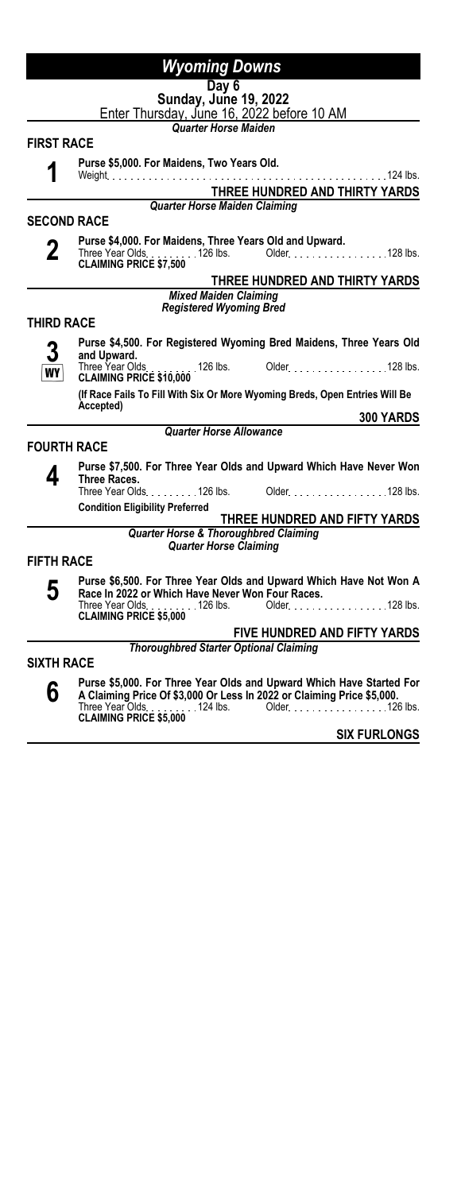| <b>Wyoming Downs</b> |                                                                                                                                                                                                                              |
|----------------------|------------------------------------------------------------------------------------------------------------------------------------------------------------------------------------------------------------------------------|
|                      | Day 6                                                                                                                                                                                                                        |
|                      | Sunday, June 19, 2022<br>Enter Thursday, June 16, 2022 before 10 AM                                                                                                                                                          |
|                      | <b>Quarter Horse Maiden</b>                                                                                                                                                                                                  |
| <b>FIRST RACE</b>    |                                                                                                                                                                                                                              |
|                      | Purse \$5,000. For Maidens, Two Years Old.<br>$.124$ lbs.<br>Weight $\ldots$ , $\ldots$                                                                                                                                      |
|                      | THREE HUNDRED AND THIRTY YARDS                                                                                                                                                                                               |
|                      | <b>Quarter Horse Maiden Claiming</b>                                                                                                                                                                                         |
| <b>SECOND RACE</b>   |                                                                                                                                                                                                                              |
| 2                    | Purse \$4,000. For Maidens, Three Years Old and Upward.                                                                                                                                                                      |
|                      | THREE HUNDRED AND THIRTY YARDS                                                                                                                                                                                               |
|                      | <b>Mixed Maiden Claiming</b><br><b>Registered Wyoming Bred</b>                                                                                                                                                               |
| THIRD RACE           |                                                                                                                                                                                                                              |
|                      | Purse \$4,500. For Registered Wyoming Bred Maidens, Three Years Old                                                                                                                                                          |
| WY                   | and Upward.<br>Three Year Olds. 126 lbs.<br>Older. 128 lbs.<br><b>CLAIMING PRICE \$10,000</b>                                                                                                                                |
|                      | (If Race Fails To Fill With Six Or More Wyoming Breds, Open Entries Will Be<br>Accepted)                                                                                                                                     |
|                      | <b>300 YARDS</b>                                                                                                                                                                                                             |
|                      | <b>Quarter Horse Allowance</b>                                                                                                                                                                                               |
| <b>FOURTH RACE</b>   |                                                                                                                                                                                                                              |
| 4                    | Purse \$7,500. For Three Year Olds and Upward Which Have Never Won<br>Three Races.                                                                                                                                           |
|                      | Three Year Olds. 126 lbs. Older. 128 lbs.                                                                                                                                                                                    |
|                      | <b>Condition Eligibility Preferred</b><br>THREE HUNDRED AND FIFTY YARDS                                                                                                                                                      |
|                      | <b>Quarter Horse &amp; Thoroughbred Claiming</b>                                                                                                                                                                             |
|                      | <b>Quarter Horse Claiming</b>                                                                                                                                                                                                |
| <b>FIFTH RACE</b>    |                                                                                                                                                                                                                              |
| 5                    | Purse \$6,500. For Three Year Olds and Upward Which Have Not Won A<br>Race In 2022 or Which Have Never Won Four Races.                                                                                                       |
|                      | Three Year Olds<br>126 lbs. Older<br>128 lbs.<br><b>CLAIMING PRICE \$5,000</b>                                                                                                                                               |
|                      | FIVE HUNDRED AND FIFTY YARDS                                                                                                                                                                                                 |
| <b>SIXTH RACE</b>    | <b>Thoroughbred Starter Optional Claiming</b>                                                                                                                                                                                |
|                      |                                                                                                                                                                                                                              |
| 6                    | Purse \$5,000. For Three Year Olds and Upward Which Have Started For<br>A Claiming Price Of \$3,000 Or Less In 2022 or Claiming Price \$5,000.<br>Three Year Olds. 124 lbs. Older. 126 lbs.<br><b>CLAIMING PRICE \$5,000</b> |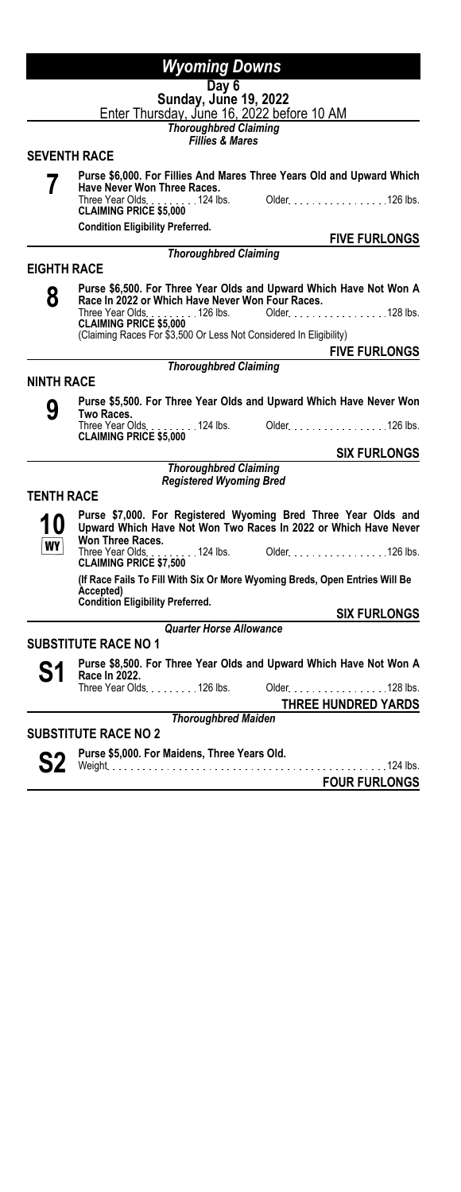|                    | <b>Wyoming Downs</b>                                                                                                                                  |
|--------------------|-------------------------------------------------------------------------------------------------------------------------------------------------------|
|                    | Day $6$<br>Sunday, June 19, 2022<br>Enter Thursday, June 16, 2022 before 10 AM                                                                        |
|                    | <b>Thoroughbred Claiming</b><br><b>Fillies &amp; Mares</b>                                                                                            |
|                    | <b>SEVENTH RACE</b>                                                                                                                                   |
|                    | Purse \$6,000. For Fillies And Mares Three Years Old and Upward Which                                                                                 |
|                    | <b>Have Never Won Three Races.</b><br>Three Year Olds. 124 lbs. Older. 126 lbs.<br><b>CLAIMING PRICE \$5,000</b>                                      |
|                    | <b>Condition Eligibility Preferred.</b>                                                                                                               |
|                    | <b>FIVE FURLONGS</b><br><b>Thoroughbred Claiming</b>                                                                                                  |
| <b>EIGHTH RACE</b> |                                                                                                                                                       |
|                    |                                                                                                                                                       |
| 8                  | Purse \$6,500. For Three Year Olds and Upward Which Have Not Won A<br>Race In 2022 or Which Have Never Won Four Races.                                |
|                    |                                                                                                                                                       |
|                    | <b>CLAIMING PRICE \$5,000</b><br>(Claiming Races For \$3,500 Or Less Not Considered In Eligibility)                                                   |
|                    | <b>FIVE FURLONGS</b>                                                                                                                                  |
|                    | <b>Thoroughbred Claiming</b>                                                                                                                          |
| <b>NINTH RACE</b>  |                                                                                                                                                       |
| g                  | Purse \$5,500. For Three Year Olds and Upward Which Have Never Won<br>Two Races.                                                                      |
|                    | Three Year Olds. 124 lbs. Older. 126 lbs.<br><b>CLAIMING PRICE \$5,000</b>                                                                            |
|                    | <b>SIX FURLONGS</b>                                                                                                                                   |
|                    | <b>Thoroughbred Claiming</b><br><b>Registered Wyoming Bred</b>                                                                                        |
| <b>TENTH RACE</b>  |                                                                                                                                                       |
|                    | Purse \$7,000. For Registered Wyoming Bred Three Year Olds and<br>Upward Which Have Not Won Two Races In 2022 or Which Have Never<br>Won Three Races. |
| WY                 | 124 lbs. Older 126 lbs.<br>Three Year Olds<br><b>CLAIMING PRICE \$7,500</b>                                                                           |
|                    | (If Race Fails To Fill With Six Or More Wyoming Breds, Open Entries Will Be<br>Accepted)                                                              |
|                    | <b>Condition Eligibility Preferred.</b><br><b>SIX FURLONGS</b>                                                                                        |
|                    | <b>Quarter Horse Allowance</b>                                                                                                                        |
|                    | <b>SUBSTITUTE RACE NO 1</b>                                                                                                                           |
| S1                 | Purse \$8,500. For Three Year Olds and Upward Which Have Not Won A<br>Race In 2022.                                                                   |
|                    | . 128 lbs.                                                                                                                                            |
|                    | <b>THREE HUNDRED YARDS</b>                                                                                                                            |
|                    | <b>Thoroughbred Maiden</b>                                                                                                                            |
|                    | <b>SUBSTITUTE RACE NO 2</b>                                                                                                                           |

S2 **Purse \$5,000. For Maidens, Three Years Old.**<br>
S2 Weight 124 lbs.

**FOUR FURLONGS**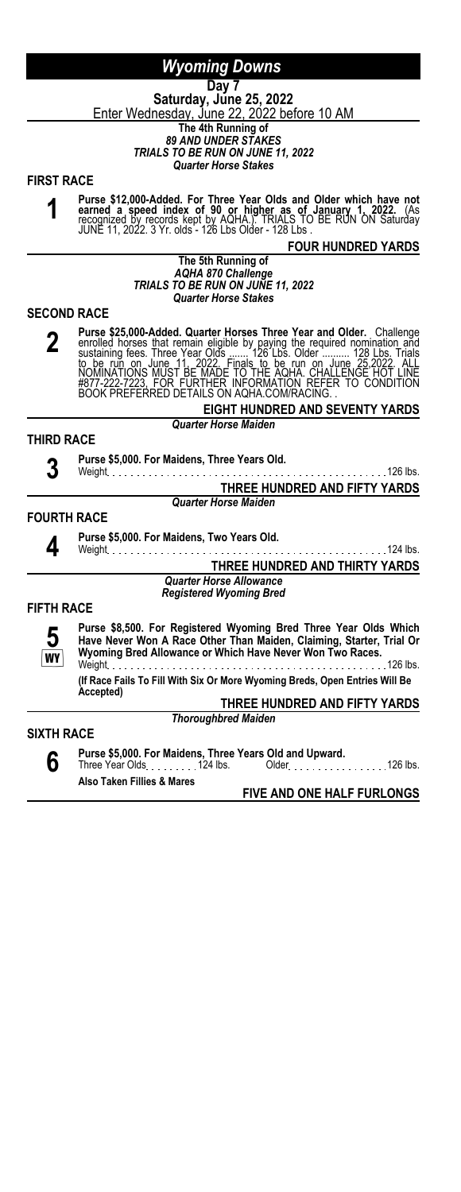**Day 7 Saturday, June 25, 2022** <u>Enter Wednesday, June 22, 2022 before 10 AM</u> **The 4th Running of**

*89 AND UNDER STAKES TRIALS TO BE RUN ON JUNE 11, 2022 Quarter Horse Stakes*

**FIRST RACE**

**1**

Purse \$12,000-Added. For Three Year Olds and Older which have not<br>earned a speed index of 90 or higher as of January 1, 2022. (As<br>recognized by records kept by AQHA.). TRIALS TO BE RUN ON Saturday<br>JUNE 11, 2022. 3 Yr. olds

#### **FOUR HUNDRED YARDS**

#### **The 5th Running of** *AQHA 870 Challenge TRIALS TO BE RUN ON JUNE 11, 2022 Quarter Horse Stakes*

#### **SECOND RACE**

**2 Purse \$25,000-Added. Quarter Horses Three Year and Older.** Challenge enrolled horses that remain eligible by paying the required nomination and sustaining fees. Three Year Olds ....... 126 Lbs. Older ........... 128 Lbs.

> **EIGHT HUNDRED AND SEVENTY YARDS** *Quarter Horse Maiden*

#### **THIRD RACE**

**3**

**4**

**Purse \$5,000. For Maidens, Three Years Old.**

Weight 126 lbs. **THREE HUNDRED AND FIFTY YARDS** *Quarter Horse Maiden*

#### **FOURTH RACE**

**Purse \$5,000. For Maidens, Two Years Old.**

#### Weight 124 lbs. **THREE HUNDRED AND THIRTY YARDS**

*Quarter Horse Allowance Registered Wyoming Bred*

#### **FIFTH RACE**

**5 WY** 

**Purse \$8,500. For Registered Wyoming Bred Three Year Olds Which Have Never Won A Race Other Than Maiden, Claiming, Starter, Trial Or Wyoming Bred Allowance or Which Have Never Won Two Races.**

Weight 126 lbs. **(If Race Fails To Fill With Six Or More Wyoming Breds, Open Entries Will Be Accepted)**

**THREE HUNDRED AND FIFTY YARDS**

*Thoroughbred Maiden*

### **SIXTH RACE**

**6**

**Purse \$5,000. For Maidens, Three Years Old and Upward.** Three Year Olds 124 lbs. Older 126 lbs. **Also Taken Fillies & Mares**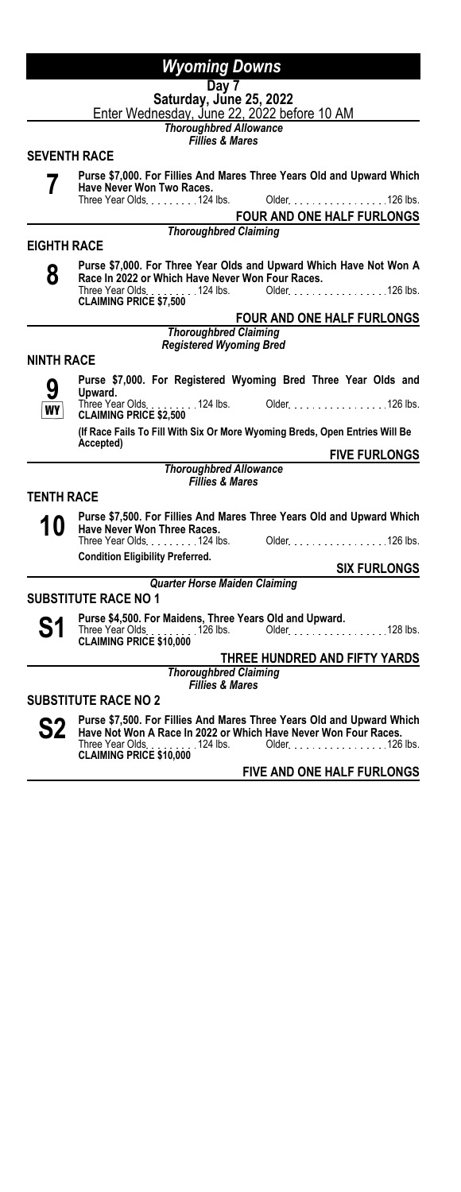|                    | <b>Wyoming Downs</b>                                                                                                                                                                                                    |
|--------------------|-------------------------------------------------------------------------------------------------------------------------------------------------------------------------------------------------------------------------|
|                    | Day 7                                                                                                                                                                                                                   |
|                    | Saturday, June 25, 2022<br>Enter Wednesday, June 22, 2022 before 10 AM                                                                                                                                                  |
|                    | <b>Thoroughbred Allowance</b>                                                                                                                                                                                           |
|                    | <b>Fillies &amp; Mares</b>                                                                                                                                                                                              |
|                    | <b>SEVENTH RACE</b>                                                                                                                                                                                                     |
|                    | Purse \$7,000. For Fillies And Mares Three Years Old and Upward Which                                                                                                                                                   |
|                    | Have Never Won Two Races.<br>Three Year Olds. 124 lbs.<br>Older. 126 lbs.                                                                                                                                               |
|                    | FOUR AND ONE HALF FURLONGS                                                                                                                                                                                              |
|                    | <b>Thoroughbred Claiming</b>                                                                                                                                                                                            |
| <b>EIGHTH RACE</b> |                                                                                                                                                                                                                         |
| 8                  | Purse \$7,000. For Three Year Olds and Upward Which Have Not Won A<br>Race In 2022 or Which Have Never Won Four Races.<br>Three Year Olds. 124 lbs. Older. 126 lbs.<br>CLAIMING PRICE \$7,500                           |
|                    | FOUR AND ONE HALF FURLONGS                                                                                                                                                                                              |
|                    | <b>Thoroughbred Claiming</b>                                                                                                                                                                                            |
|                    | <b>Registered Wyoming Bred</b>                                                                                                                                                                                          |
| <b>NINTH RACE</b>  |                                                                                                                                                                                                                         |
|                    | Purse \$7,000. For Registered Wyoming Bred Three Year Olds and<br>Upward.                                                                                                                                               |
| WY                 | Three Year Olds<br>124 lbs. Older 126 lbs.<br><b>CLAIMING PRICE \$2,500</b>                                                                                                                                             |
|                    | (If Race Fails To Fill With Six Or More Wyoming Breds, Open Entries Will Be<br>Accepted)                                                                                                                                |
|                    | <b>FIVE FURLONGS</b>                                                                                                                                                                                                    |
|                    | <b>Thoroughbred Allowance</b><br><b>Fillies &amp; Mares</b>                                                                                                                                                             |
| TENTH RACE         |                                                                                                                                                                                                                         |
|                    | Purse \$7,500. For Fillies And Mares Three Years Old and Upward Which                                                                                                                                                   |
| 10                 | Have Never Won Three Races.                                                                                                                                                                                             |
|                    |                                                                                                                                                                                                                         |
|                    | <b>Condition Eligibility Preferred.</b><br><b>SIX FURLONGS</b>                                                                                                                                                          |
|                    | <b>Quarter Horse Maiden Claiming</b>                                                                                                                                                                                    |
|                    | <b>SUBSTITUTE RACE NO 1</b>                                                                                                                                                                                             |
| S1                 | Purse \$4,500. For Maidens, Three Years Old and Upward.<br>Three Year Olds. 126 lbs. Older. 128 lbs.                                                                                                                    |
|                    | <b>CLAIMING PRICE \$10,000</b>                                                                                                                                                                                          |
|                    | THREE HUNDRED AND FIFTY YARDS<br><b>Thoroughbred Claiming</b>                                                                                                                                                           |
|                    | <b>Fillies &amp; Mares</b>                                                                                                                                                                                              |
|                    | <b>SUBSTITUTE RACE NO 2</b>                                                                                                                                                                                             |
|                    | Purse \$7,500. For Fillies And Mares Three Years Old and Upward Which<br>Have Not Won A Race In 2022 or Which Have Never Won Four Races.<br>Three Year Olds. 124 lbs. Older. 126 lbs.<br><b>CLAIMING PRICE \$10,000</b> |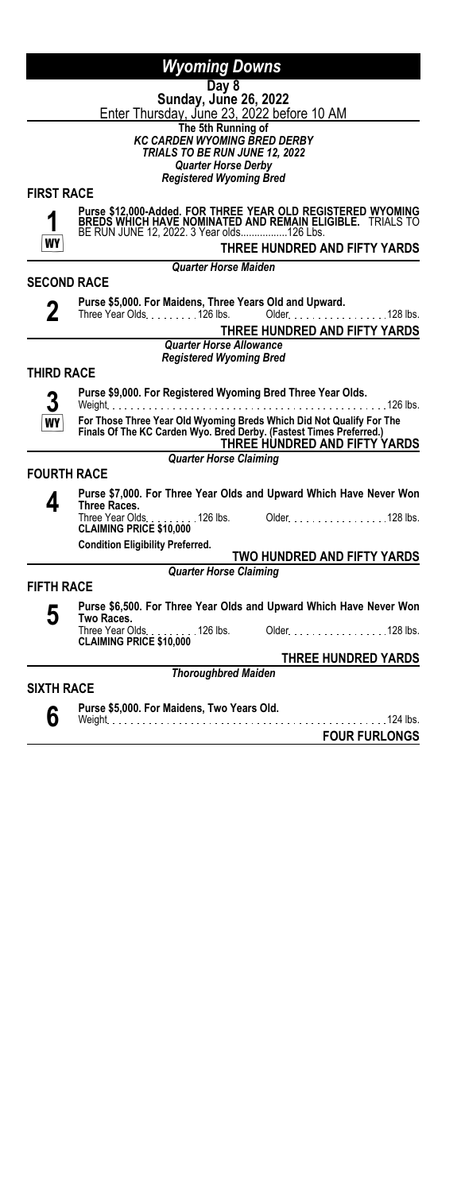| <b>Wyoming Downs</b> |
|----------------------|
|----------------------|

**Day 8 Sunday, June 26, 2022**

Enter Thursday, June 23, 2022 before 10 AM **The 5th Running of**

*KC CARDEN WYOMING BRED DERBY TRIALS TO BE RUN JUNE 12, 2022*

*Quarter Horse Derby Registered Wyoming Bred*

**FIRST RACE**



**2**

**Purse \$12,000-Added. FOR THREE YEAR OLD REGISTERED WYOMING BREDS WHICH HAVE NOMINATED AND REMAIN ELIGIBLE.** TRIALS TO BE RUN JUNE 12, 2022. 3 Year olds.................126 Lbs.

**THREE HUNDRED AND FIFTY YARDS**

*Quarter Horse Maiden*

**SECOND RACE**

**Purse \$5,000. For Maidens, Three Years Old and Upward.**<br>Three Year Olds. . . . . . . . . . 126 lbs. Older. . . . . . . . . . . . . . . . . . 128 lbs.

**THREE HUNDRED AND FIFTY YARDS**

*Quarter Horse Allowance Registered Wyoming Bred*

# **THIRD RACE**

**3 WY** 

**Purse \$9,000. For Registered Wyoming Bred Three Year Olds.** Weight 126 lbs.

**For Those Three Year Old Wyoming Breds Which Did Not Qualify For The Finals Of The KC Carden Wyo. Bred Derby. (Fastest Times Preferred.) THREE HUNDRED AND FIFTY YARDS**

*Quarter Horse Claiming*

**FOURTH RACE**

**4 Purse \$7,000. For Three Year Olds and Upward Which Have Never Won Three Races.** Older National 2010 128 lbs. **CLAIMING PRICE \$10,000**<br>**CLAIMING PRICE \$10,000**<br>Conditi

**Condition Eligibility Preferred.**

**TWO HUNDRED AND FIFTY YARDS** *Quarter Horse Claiming*

**FIFTH RACE**

**5 Purse \$6,500. For Three Year Olds and Upward Which Have Never Won Two Races.** Older No. 100 . 128 lbs.

**CLAIMING PRICE \$10,000**

**THREE HUNDRED YARDS** *Thoroughbred Maiden*

**SIXTH RACE 6**

**Purse \$5,000. For Maidens, Two Years Old.**

Weight 124 lbs. **FOUR FURLONGS**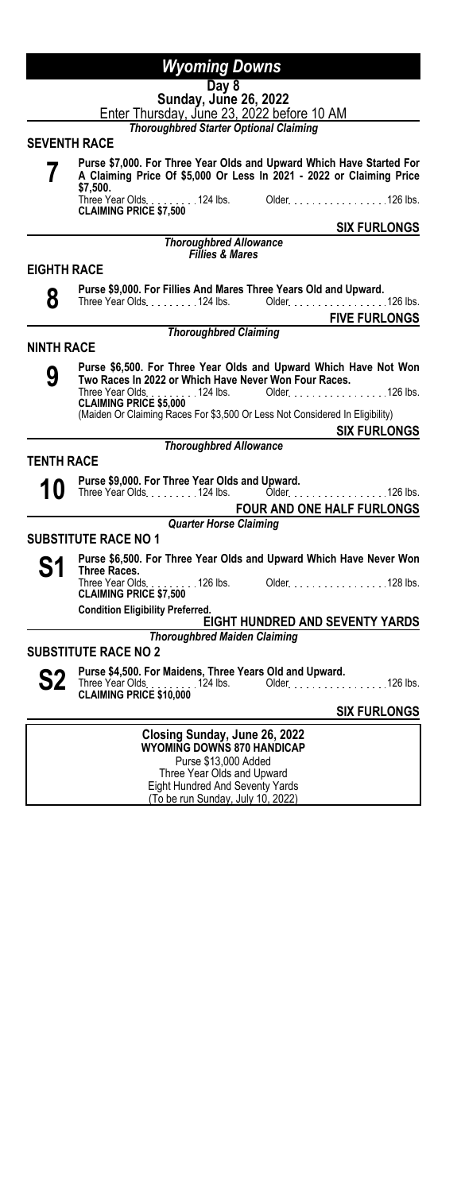#### **Day 8 Sunday, June 26, 2022**

Enter Thursday, June 23, 2022 before 10 AM

*Thoroughbred Starter Optional Claiming*

#### **SEVENTH RACE**

**7**

**Purse \$7,000. For Three Year Olds and Upward Which Have Started For A Claiming Price Of \$5,000 Or Less In 2021 - 2022 or Claiming Price \$7,500.** Older. . . . . . . . . . . . . . . . 126 lbs. **CLAIMING PRICE \$7,500**

**SIX FURLONGS**

*Thoroughbred Allowance Fillies & Mares*

#### **EIGHTH RACE**

**8**

**Purse \$9,000. For Fillies And Mares Three Years Old and Upward.** Older 1999 126 lbs. **FIVE FURLONGS** *Thoroughbred Claiming* **NINTH RACE 9 Purse \$6,500. For Three Year Olds and Upward Which Have Not Won Two Races In 2022 or Which Have Never Won Four Races.** Three Year Olds <sub>- - - - - - -</sub> - 124 lbs. Older <sub>- - -</sub> - - - - - - - - - - - - - 126 lbs.<br>**CLAIMING PRICE \$5,000** (Maiden Or Claiming Races For \$3,500 Or Less Not Considered In Eligibility) **SIX FURLONGS** *Thoroughbred Allowance* **TENTH RACE 10 Purse \$9,000. For Three Year Olds and Upward.**<br>124 lbs. **124 lbs.** Older Older 1990 126 lbs. **FOUR AND ONE HALF FURLONGS**

*Quarter Horse Claiming*

# **SUBSTITUTE RACE NO 1**

**S1 Purse \$6,500. For Three Year Olds and Upward Which Have Never Won Three Races.** Three Year Olds. . . . . . . . . 126 lbs. Older. . . . . . . . . . . . . . . . . 128 lbs.<br>**CLAIMING PRICE \$7,500** 

**Condition Eligibility Preferred.**

**EIGHT HUNDRED AND SEVENTY YARDS**

*Thoroughbred Maiden Claiming*

# **SUBSTITUTE RACE NO 2**

**S2** Purse \$4,500. For Maidens, Three Years Old and Upward.<br>
CLAIMING PRICE \$10,000<br>
CLAIMING PRICE \$10,000

| Closing Sunday, June 26, 2022     |  |
|-----------------------------------|--|
|                                   |  |
| <b>WYOMING DOWNS 870 HANDICAP</b> |  |
| Purse \$13,000 Added              |  |
| Three Year Olds and Upward        |  |
| Eight Hundred And Seventy Yards   |  |
| (To be run Sunday, July 10, 2022) |  |
|                                   |  |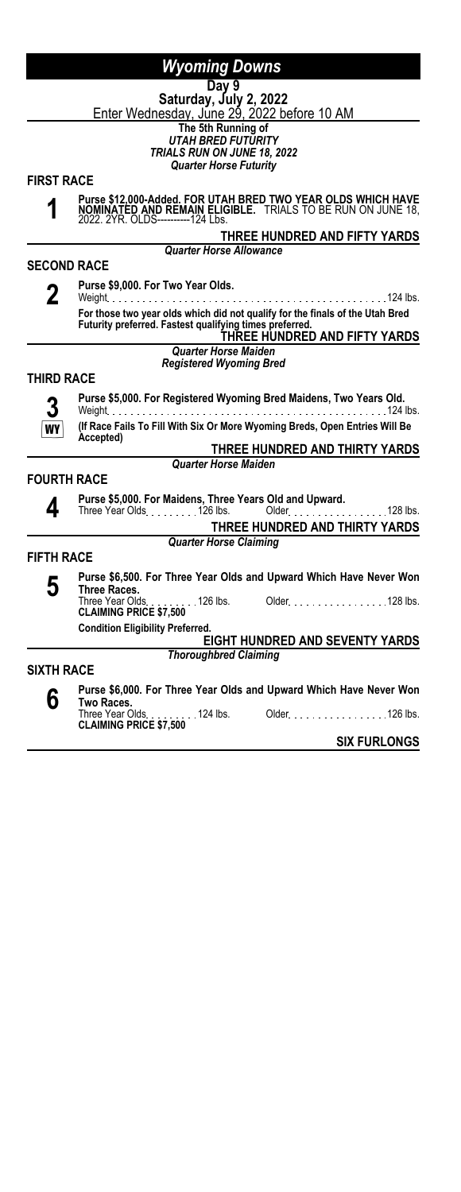#### **Day 9 Saturday, July 2, 2022**

Enter Wednesday, June 29, 2022 before 10 AM

**The 5th Running of**

*UTAH BRED FUTURITY TRIALS RUN ON JUNE 18, 2022 Quarter Horse Futurity*

**FIRST RACE**

**1**

**Purse \$12,000-Added. FOR UTAH BRED TWO YEAR OLDS WHICH HAVE NOMINATED AND REMAIN ELIGIBLE.** TRIALS TO BE RUN ON JUNE 18, 2022. 2YR. OLDS----------124 Lbs.

**THREE HUNDRED AND FIFTY YARDS**

*Quarter Horse Allowance*

**Purse \$9,000. For Two Year Olds.**

**SECOND RACE**

**2**

Weight 124 lbs. **For those two year olds which did not qualify for the finals of the Utah Bred Futurity preferred. Fastest qualifying times preferred. THREE HUNDRED AND FIFTY YARDS**

# *Quarter Horse Maiden*

*Registered Wyoming Bred*

### **THIRD RACE**



**Purse \$5,000. For Registered Wyoming Bred Maidens, Two Years Old.** . . . . . . . . . . . . . . . . . . **(If Race Fails To Fill With Six Or More Wyoming Breds, Open Entries Will Be Accepted)**

**THREE HUNDRED AND THIRTY YARDS**

### **FOURTH RACE**

|--|

**Purse \$5,000. For Maidens, Three Years Old and Upward.** Three Year Olds 126 lbs. Older 128 lbs.

**THREE HUNDRED AND THIRTY YARDS**

*Quarter Horse Claiming*

*Quarter Horse Maiden*

### **FIFTH RACE**

**5 Purse \$6,500. For Three Year Olds and Upward Which Have Never Won Three Races.** Older 11.1.1.1.1.1.1.128 lbs. **CLAIMING PRICE \$7,500** 126 lbs.

**Condition Eligibility Preferred.**

**EIGHT HUNDRED AND SEVENTY YARDS** *Thoroughbred Claiming*

### **SIXTH RACE**

**6 Purse \$6,000. For Three Year Olds and Upward Which Have Never Won Two Races.** Older 11.1.1.1.1.1.1.126 lbs. **CLAIMING PRICE \$7,500**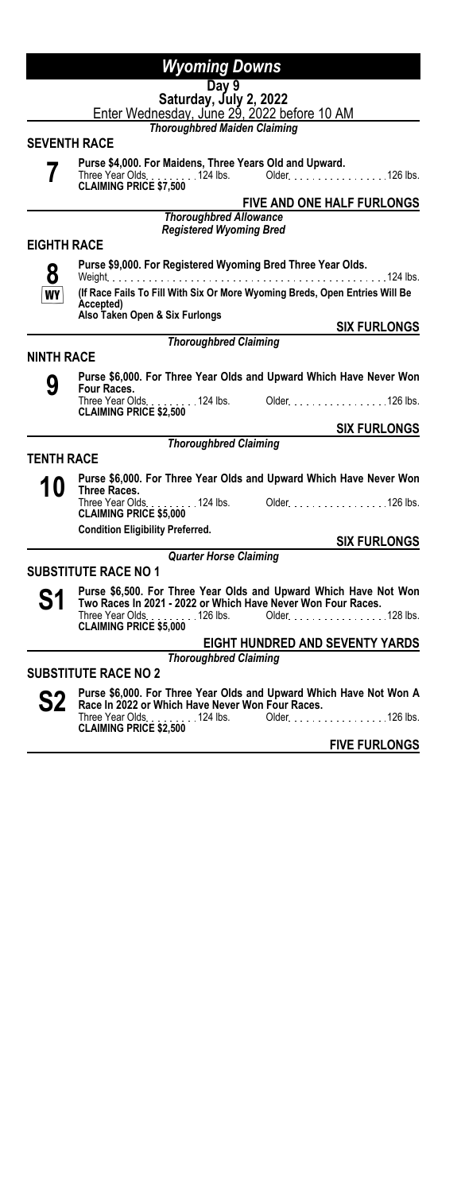#### **Day 9 Saturday, July 2, 2022**

Enter Wednesday, June 29, 2022 before 10 AM

*Thoroughbred Maiden Claiming*

#### **SEVENTH RACE**

**7**

**Purse \$4,000. For Maidens, Three Years Old and Upward.** Three Year Olds. . . . . . . . . 124 lbs. Older. . . . . . . . . . . . . . . . . . 126 lbs.<br>**CLAIMING PRICE \$7,500** 

**FIVE AND ONE HALF FURLONGS**

*Thoroughbred Allowance Registered Wyoming Bred*

### **EIGHTH RACE**

**Purse \$9,000. For Registered Wyoming Bred Three Year Olds.**

**8 WY** 

Weight 124 lbs. **(If Race Fails To Fill With Six Or More Wyoming Breds, Open Entries Will Be**

# *Thoroughbred Claiming*

**SIX FURLONGS**

**SIX FURLONGS**

**SIX FURLONGS**

### **NINTH RACE**

**9**

**Purse \$6,000. For Three Year Olds and Upward Which Have Never Won Four Races.** Older No. 100 lbs. 2010 lbs. Three Year Olds<br> **CLAIMING PRICE \$2,500** 

#### *Thoroughbred Claiming*

**TENTH RACE**

**10** Purse \$6,000. For Three Year Olds and Upward Which Have Never Won **Three Races.** Three Year Olds 124 lbs. Older 126 lbs. **CLAIMING PRICE \$5,000**<br>**CLAIMING PRICE \$5,000** 

**Condition Eligibility Preferred.**

**Accepted) Also Taken Open & Six Furlongs**

### *Quarter Horse Claiming*

#### **SUBSTITUTE RACE NO 1**

**S1 Purse \$6,500. For Three Year Olds and Upward Which Have Not Won**<br>Two Races In 2021 - 2022 or Which Have Never Won Four Races.<br>Cldes Clause 2021 - 2021 - 2021 - 2021 - 2022

Three Year Olds<sub>.</sub> . . . . . . . 126 lbs. Older. . . . . . . . . . . . . . . . . 128 lbs.<br>**CLAIMING PRICE \$5,000 EIGHT HUNDRED AND SEVENTY YARDS**

# *Thoroughbred Claiming*

#### **SUBSTITUTE RACE NO 2**

**S2 Purse \$6,000. For Three Year Olds and Upward Which Have Not Won A**<br>Three Year Olds **Controller State State Controller Controller State State Controller State Controller State State State State State State State State Race In 2022 or Which Have Never Won Four Races.** Three Year Olds. . . . . . . . . 124 lbs. Older. . . . . . . . . . . . . . . . . 126 lbs.<br>**CLAIMING PRICE \$2,500** 

**FIVE FURLONGS**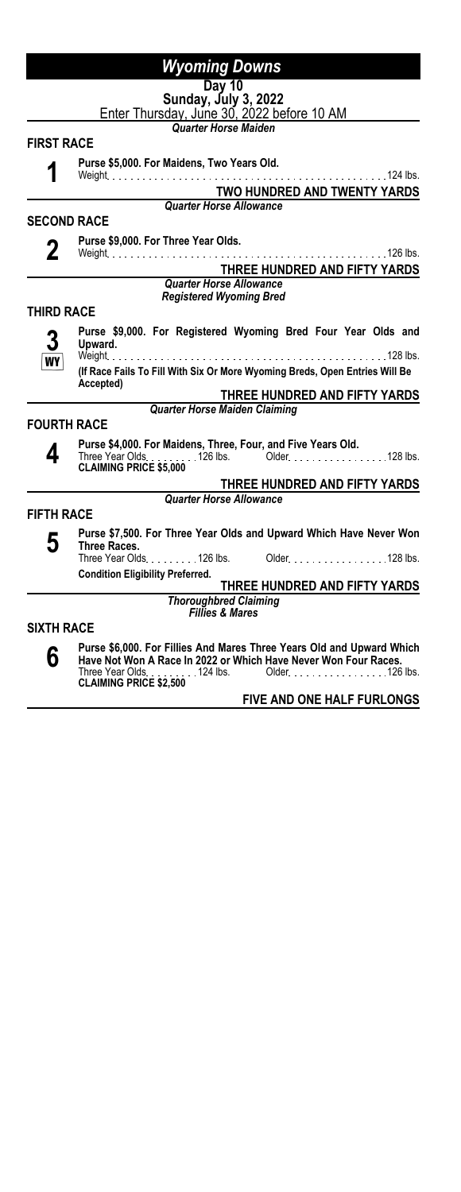| Day 10                                                             |  |
|--------------------------------------------------------------------|--|
|                                                                    |  |
| Sunday, July 3, 2022<br>Enter Thursday, June 30, 2022 before 10 AM |  |

*Quarter Horse Maiden*

#### **FIRST RACE**

**Purse \$5,000. For Maidens, Two Years Old.**

#### **1** Weight 124 lbs.

#### **TWO HUNDRED AND TWENTY YARDS** *Quarter Horse Allowance*

#### **SECOND RACE**

**Purse \$9,000. For Three Year Olds.** Weight 126 lbs. **THREE HUNDRED AND FIFTY YARDS**

#### *Quarter Horse Allowance Registered Wyoming Bred*

# **THIRD RACE**



**Purse \$9,000. For Registered Wyoming Bred Four Year Olds and Upward.** Weight 128 lbs.

**(If Race Fails To Fill With Six Or More Wyoming Breds, Open Entries Will Be Accepted)**

### **THREE HUNDRED AND FIFTY YARDS**

*Quarter Horse Maiden Claiming*

#### **FOURTH RACE**



**Purse \$4,000. For Maidens, Three, Four, and Five Years Old.**<br>Three Year Olds. . . . . . . . . 126 lbs. Older. . . . . . . . . . . . . . . . . . 128 lbs.<br>**CLAIMING PRICE \$5,000** 

### **THREE HUNDRED AND FIFTY YARDS**

*Quarter Horse Allowance*

### **FIFTH RACE**

**5 Purse \$7,500. For Three Year Olds and Upward Which Have Never Won Three Races.** Older New York 128 lbs. **Condition Eligibility Preferred.**

# **THREE HUNDRED AND FIFTY YARDS**

*Thoroughbred Claiming Fillies & Mares*

### **SIXTH RACE**

**6**

**Purse \$6,000. For Fillies And Mares Three Years Old and Upward Which Have Not Won A Race In 2022 or Which Have Never Won Four Races.** Older . . . . . . . . . . . . . . . . . 126 lbs. **CLAIMING PRICE \$2,500**<br>**CLAIMING PRICE \$2,500**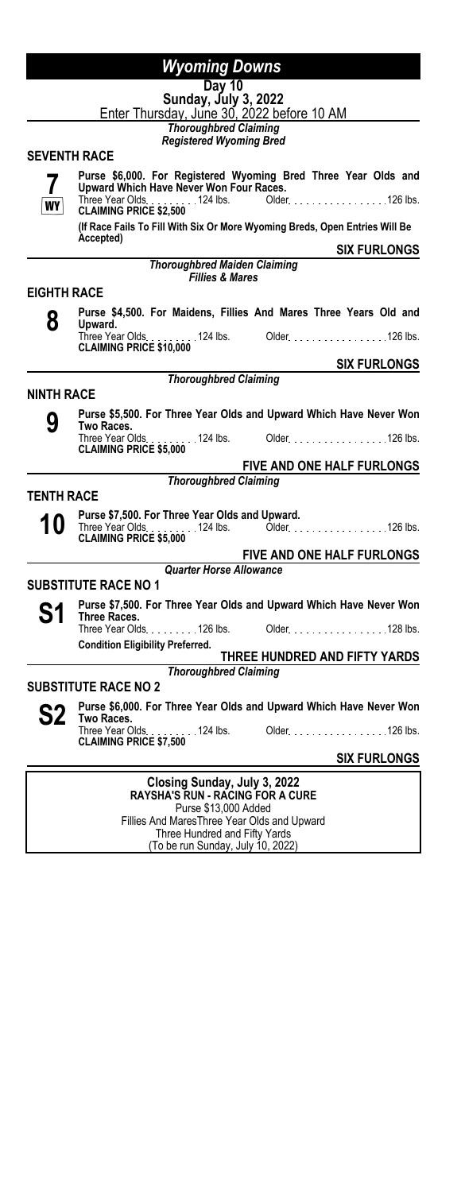# **Day 10**

**Sunday, July 3, 2022** Enter Thursday, June 30, 2022 before 10 AM

*Thoroughbred Claiming Registered Wyoming Bred*

#### **SEVENTH RACE**



Fillies And MaresThree Year Olds and Upward Three Hundred and Fifty Yards (To be run Sunday, July 10, 2022)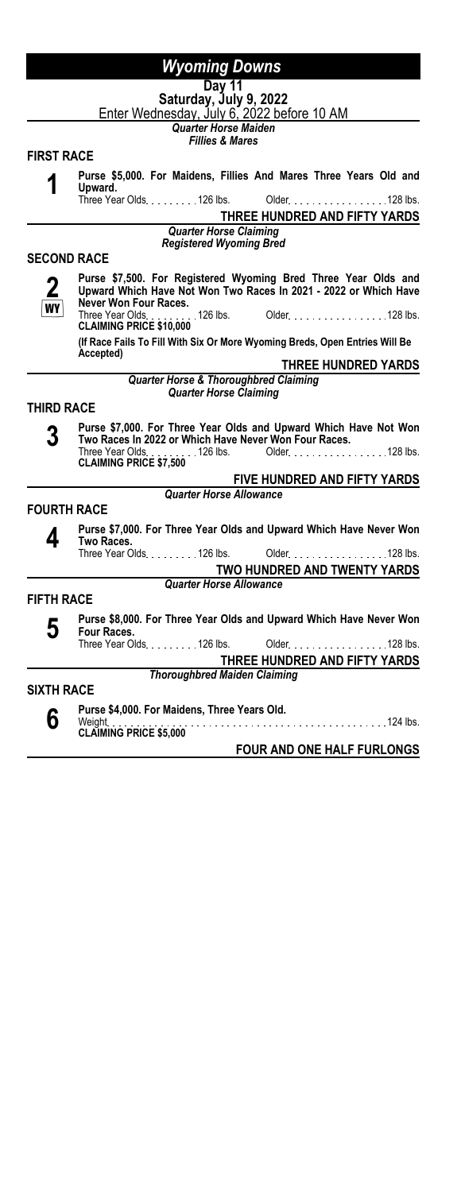#### **Day 11 Saturday, July 9, 2022**

Enter Wednesday, July 6, 2022 before 10 AM

*Quarter Horse Maiden Fillies & Mares*

**FIRST RACE**

**1 Purse \$5,000. For Maidens, Fillies And Mares Three Years Old and** Upward.<br>Three Year Olds. . . . . . . . . 126 lbs. Older. . . . . . . . . . . . . . . . . 128 lbs. **THREE HUNDRED AND FIFTY YARDS** *Quarter Horse Claiming Registered Wyoming Bred* **SECOND RACE 2 WY Purse \$7,500. For Registered Wyoming Bred Three Year Olds and Upward Which Have Not Won Two Races In 2021 - 2022 or Which Have Never Won Four Races.** Older No. 100 . 128 lbs. **CLAIMING PRICE \$10,000**<br>**CLAIMING PRICE \$10,000**<br> *I***IF Records (If Race Fails To Fill With Six Or More Wyoming Breds, Open Entries Will Be Accepted) THREE HUNDRED YARDS** *Quarter Horse & Thoroughbred Claiming Quarter Horse Claiming* **THIRD RACE 3 Purse \$7,000. For Three Year Olds and Upward Which Have Not Won Two Races In 2022 or Which Have Never Won Four Races.** Older 11.1.1.1.1.1.1.128 lbs. **CLAIMING PRICE \$7,500**<br>**CLAIMING PRICE \$7,500 FIVE HUNDRED AND FIFTY YARDS** *Quarter Horse Allowance* **FOURTH RACE 4 Purse \$7,000. For Three Year Olds and Upward Which Have Never Won Two Races.** Three Year Olds. . . . . . . . . 126 lbs. Older . . . . . . . . . . . . . . . . 128 lbs. **TWO HUNDRED AND TWENTY YARDS** *Quarter Horse Allowance* **FIFTH RACE 5 Purse \$8,000. For Three Year Olds and Upward Which Have Never Won Four Races.** Older No. 128 lbs. **THREE HUNDRED AND FIFTY YARDS** *Thoroughbred Maiden Claiming* **SIXTH RACE 6 Purse \$4,000. For Maidens, Three Years Old.** Weight 124 lbs. **CLAIMING PRICE \$5,000 FOUR AND ONE HALF FURLONGS**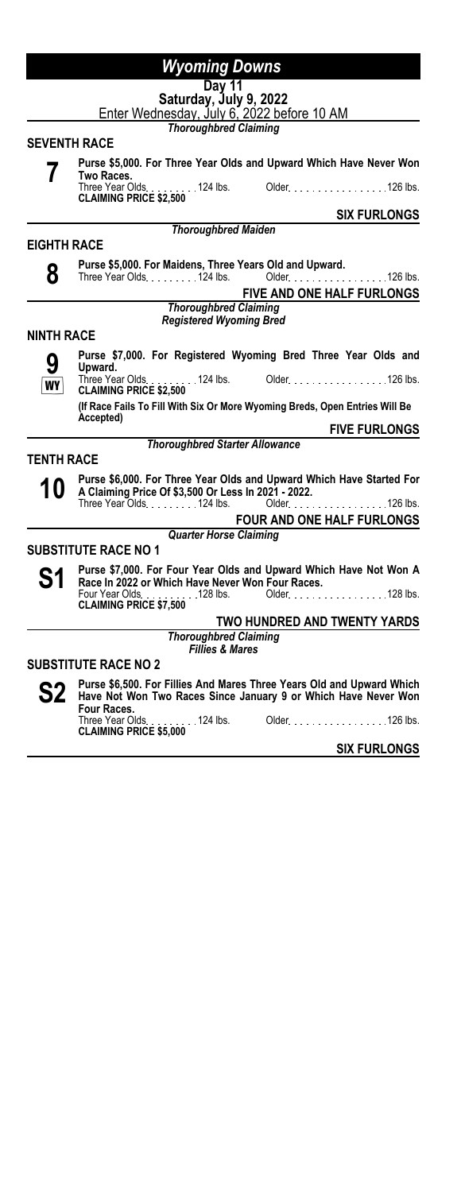| Day 11                      |                                                                                                                     |
|-----------------------------|---------------------------------------------------------------------------------------------------------------------|
| Saturday, July 9, 2022      |                                                                                                                     |
|                             | Enter Wednesday, July 6, 2022 before 10 AM<br><b>Thoroughbred Claiming</b>                                          |
| <b>SEVENTH RACE</b>         |                                                                                                                     |
|                             | Purse \$5,000. For Three Year Olds and Upward Which Have Never Won                                                  |
|                             | Two Races.<br>Three Year Olds. 124 lbs.<br>Older. 126 lbs.                                                          |
|                             | <b>CLAIMING PRICE \$2,500</b>                                                                                       |
|                             | <b>SIX FURLONGS</b>                                                                                                 |
|                             | <b>Thoroughbred Maiden</b>                                                                                          |
| <b>EIGHTH RACE</b>          |                                                                                                                     |
| 8                           | Purse \$5,000. For Maidens, Three Years Old and Upward.<br>Older Processing<br>Three Year Olds. 124 lbs.<br>126 lbs |
|                             | <b>FIVE AND ONE HALF FURLONGS</b>                                                                                   |
|                             | <b>Thoroughbred Claiming</b>                                                                                        |
|                             | <b>Registered Wyoming Bred</b>                                                                                      |
| <b>NINTH RACE</b>           |                                                                                                                     |
|                             | Purse \$7,000. For Registered Wyoming Bred Three Year Olds and<br>Upward.                                           |
| WY                          | Three Year Olds. 124 lbs. Older. 126 lbs.<br><b>CLAIMING PRICE \$2,500</b>                                          |
|                             | (If Race Fails To Fill With Six Or More Wyoming Breds, Open Entries Will Be                                         |
|                             | Accepted)<br><b>FIVE FURLONGS</b>                                                                                   |
|                             | <b>Thoroughbred Starter Allowance</b>                                                                               |
| <b>TENTH RACE</b>           |                                                                                                                     |
|                             | Purse \$6,000. For Three Year Olds and Upward Which Have Started For                                                |
| IU                          | A Claiming Price Of \$3,500 Or Less In 2021 - 2022.                                                                 |
|                             | Three Year Olds. 124 lbs.<br>Older.<br>126 lbs.                                                                     |
|                             | <b>FOUR AND ONE HALF FURLONGS</b>                                                                                   |
|                             | <b>Quarter Horse Claiming</b>                                                                                       |
| <b>SUBSTITUTE RACE NO 1</b> |                                                                                                                     |
| S1                          | Purse \$7,000. For Four Year Olds and Upward Which Have Not Won A                                                   |
|                             | Race In 2022 or Which Have Never Won Four Races.<br>Four Year Olds. 128 lbs.<br>Older<br>128 lbs.                   |
|                             | <b>CLAIMING PRICE \$7.500</b>                                                                                       |
|                             | TWO HUNDRED AND TWENTY YARDS                                                                                        |
|                             | <b>Thoroughbred Claiming</b>                                                                                        |

*Fillies & Mares*

### **SUBSTITUTE RACE NO 2**

Ē,

 $\overline{a}$ 

 $\blacksquare$ 

**S2 Purse \$6,500. For Fillies And Mares Three Years Old and Upward Which Have Not Won Two Races Since January 9 or Which Have Never Won Four Races.**<br>Three Year Olds. . . . . . . . . 124 lbs. Older. . . . . . . . . . . . . . . . . . 126 lbs.<br>**CLAIMING PRICE \$5,000**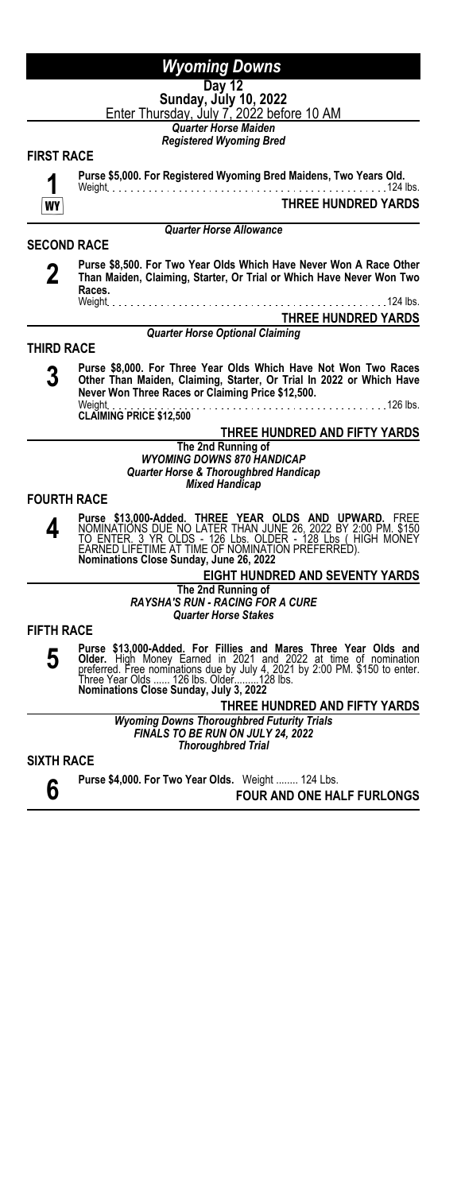|--|

| . . |  |  |
|-----|--|--|

**Sunday, July 10, 2022** <u>Enter Thursday, July 7, 2022 before 10 AM</u>

*Quarter Horse Maiden Registered Wyoming Bred*

### **FIRST RACE**

**SECOND RACE**

**Purse \$5,000. For Registered Wyoming Bred Maidens, Two Years Old.**

Weight 124 lbs. **THREE HUNDRED YARDS**

#### *Quarter Horse Allowance*

**2**

**Purse \$8,500. For Two Year Olds Which Have Never Won A Race Other Than Maiden, Claiming, Starter, Or Trial or Which Have Never Won Two Races.** Weight 124 lbs.

**THREE HUNDRED YARDS**

#### *Quarter Horse Optional Claiming*

### **THIRD RACE**

**3 Purse \$8,000. For Three Year Olds Which Have Not Won Two Races Other Than Maiden, Claiming, Starter, Or Trial In 2022 or Which Have Never Won Three Races or Claiming Price \$12,500.** Weight 126 lbs. **CLAIMING PRICE \$12,500**

#### **THREE HUNDRED AND FIFTY YARDS The 2nd Running of** *WYOMING DOWNS 870 HANDICAP Quarter Horse & Thoroughbred Handicap Mixed Handicap*

#### **FOURTH RACE**

**4** Purse \$13,000-Added. THREE YEAR OLDS AND UPWARD. FREE<br>NOMINATIONS DUE NO LATER THAN JUNE 26, 2022 BY 2:00 PM. \$150<br>TO ENTER. 3 YR OLDS - 126 Lbs. OLDER - 128 Lbs ( HIGH MONEY<br>EARNED LIFETIME AT TIME OF NOMINATION PREFERRED

> **EIGHT HUNDRED AND SEVENTY YARDS The 2nd Running of** *RAYSHA'S RUN - RACING FOR A CURE Quarter Horse Stakes*

**FIFTH RACE**

**5** Purse \$13,000-Added. For Fillies and Mares Three Year Olds and Older. High Money Earned in 2021 and 2022 at time of nomination preferred. Free nominations due by July 4, 2021 by 2:00 PM. \$150 to enter.<br>Dreferred. Free nomi

> **THREE HUNDRED AND FIFTY YARDS** *Wyoming Downs Thoroughbred Futurity Trials FINALS TO BE RUN ON JULY 24, 2022 Thoroughbred Trial*

#### **SIXTH RACE**

**6 Purse \$4,000. For Two Year Olds.** Weight ........ 124 Lbs. **FOUR AND ONE HALF FURLONGS**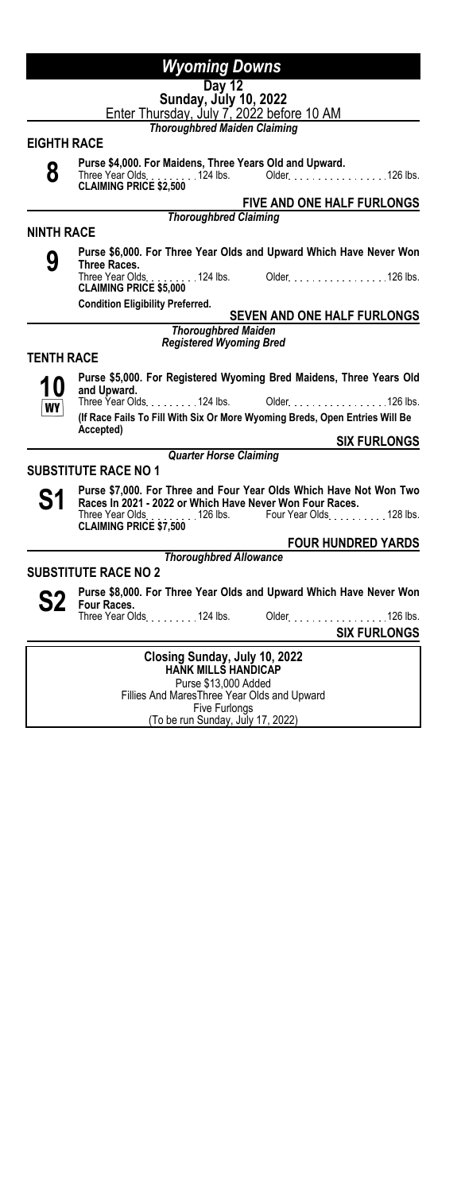|                    | Day 12                                                                                 |
|--------------------|----------------------------------------------------------------------------------------|
|                    | Sunday, July 10, 2022<br>Enter Thursday, July 7, 2022 before 10 AM                     |
|                    |                                                                                        |
|                    | <b>Thoroughbred Maiden Claiming</b>                                                    |
| <b>EIGHTH RACE</b> |                                                                                        |
| 8                  | Purse \$4,000. For Maidens, Three Years Old and Upward.                                |
|                    | Three Year Olds. 124 lbs. Older. 126 lbs.<br><b>CLAIMING PRICE \$2,500</b>             |
|                    | <b>FIVE AND ONE HALF FURLONGS</b>                                                      |
|                    | <b>Thoroughbred Claiming</b>                                                           |
| <b>NINTH RACE</b>  |                                                                                        |
|                    | Purse \$6,000. For Three Year Olds and Upward Which Have Never Won                     |
| 9                  | Three Races.                                                                           |
|                    | Three Year Olds. 124 lbs. Older. 126 lbs.<br><b>CLAIMING PRICE \$5,000</b>             |
|                    | <b>Condition Eligibility Preferred.</b>                                                |
|                    | <b>SEVEN AND ONE HALF FURLONGS</b>                                                     |
|                    | <b>Thoroughbred Maiden</b><br><b>Registered Wyoming Bred</b>                           |
| <b>TENTH RACE</b>  |                                                                                        |
|                    |                                                                                        |
| 10                 | Purse \$5,000. For Registered Wyoming Bred Maidens, Three Years Old<br>and Upward.     |
| <b>WY</b>          | Three Year Olds 124 lbs.<br>Older. 126 lbs.                                            |
|                    | (If Race Fails To Fill With Six Or More Wyoming Breds, Open Entries Will Be            |
|                    | Accepted)<br><b>SIX FURLONGS</b>                                                       |
|                    | <b>Quarter Horse Claiming</b>                                                          |
|                    | <b>SUBSTITUTE RACE NO 1</b>                                                            |
|                    | Purse \$7,000. For Three and Four Year Olds Which Have Not Won Two                     |
| S1                 | Races In 2021 - 2022 or Which Have Never Won Four Races.                               |
|                    | Four Year Olds. 128 lbs.<br>Three Year Olds. 126 lbs.<br><b>CLAIMING PRICE \$7,500</b> |
|                    | <b>FOUR HUNDRED YARDS</b>                                                              |
|                    | <b>Thoroughbred Allowance</b>                                                          |
|                    | <b>SUBSTITUTE RACE NO 2</b>                                                            |
|                    | Purse \$8,000. For Three Year Olds and Upward Which Have Never Won                     |
| S2                 | <b>Four Races.</b>                                                                     |
|                    | Three Year Olds 1.1 124 lbs.<br>Older 126 lbs.                                         |
|                    | <b>SIX FURLONGS</b>                                                                    |
|                    | Closing Sunday, July 10, 2022                                                          |
|                    | <b>HANK MILLS HANDICAP</b>                                                             |
|                    | Purse \$13,000 Added<br>Fillian And Masse Thurs Magn Olders<br>المستحدد ومطالبات       |

Fillies And MaresThree Year Olds and Upward Five Furlongs (To be run Sunday, July 17, 2022)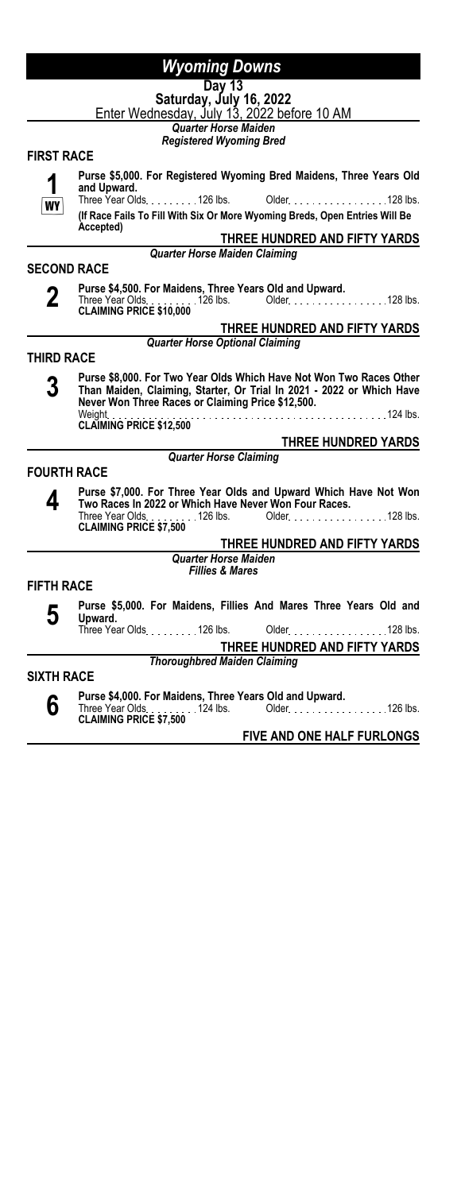|                    | Wyoming Downs                                                                                                                                                                                     |
|--------------------|---------------------------------------------------------------------------------------------------------------------------------------------------------------------------------------------------|
|                    | Day 13                                                                                                                                                                                            |
|                    | Saturday, July 16, 2022<br>Enter Wednesday, July 13, 2022 before 10 AM                                                                                                                            |
|                    |                                                                                                                                                                                                   |
|                    | <b>Quarter Horse Maiden</b>                                                                                                                                                                       |
|                    | <b>Registered Wyoming Bred</b>                                                                                                                                                                    |
| <b>FIRST RACE</b>  |                                                                                                                                                                                                   |
|                    | Purse \$5,000. For Registered Wyoming Bred Maidens, Three Years Old<br>and Upward.                                                                                                                |
| W۱                 | Three Year Olds. 126 lbs.<br>Older. 128 lbs.<br>(If Race Fails To Fill With Six Or More Wyoming Breds, Open Entries Will Be                                                                       |
|                    | Accepted)                                                                                                                                                                                         |
|                    | THREE HUNDRED AND FIFTY YARDS                                                                                                                                                                     |
|                    | Quarter Horse Maiden Claiming                                                                                                                                                                     |
| <b>SECOND RACE</b> |                                                                                                                                                                                                   |
|                    | Purse \$4,500. For Maidens, Three Years Old and Upward.                                                                                                                                           |
| 2                  |                                                                                                                                                                                                   |
|                    | <b>CLAIMING PRICE \$10,000</b>                                                                                                                                                                    |
|                    | THREE HUNDRED AND FIFTY YARDS                                                                                                                                                                     |
|                    | <b>Quarter Horse Optional Claiming</b>                                                                                                                                                            |
| THIRD RACE         |                                                                                                                                                                                                   |
|                    | Purse \$8,000. For Two Year Olds Which Have Not Won Two Races Other<br>Than Maiden, Claiming, Starter, Or Trial In 2021 - 2022 or Which Have<br>Never Won Three Races or Claiming Price \$12,500. |
|                    | Weight<br><b>CLAIMING PRICE \$12,500</b>                                                                                                                                                          |
|                    | <b>THREE HUNDRED YARDS</b>                                                                                                                                                                        |
|                    | <b>Quarter Horse Claiming</b>                                                                                                                                                                     |
| <b>FOURTH RACE</b> |                                                                                                                                                                                                   |
| 4                  | Purse \$7,000. For Three Year Olds and Upward Which Have Not Won<br>Two Races In 2022 or Which Have Never Won Four Races.                                                                         |
|                    | . 126 lbs. Older. 128 lbs.<br>Three Year Olds.<br><b>CLAIMING PRICE \$7,500</b>                                                                                                                   |
|                    | THREE HUNDRED AND FIFTY YARDS                                                                                                                                                                     |
|                    | <b>Quarter Horse Maiden</b>                                                                                                                                                                       |
|                    | <b>Fillies &amp; Mares</b>                                                                                                                                                                        |
| <b>FIFTH RACE</b>  |                                                                                                                                                                                                   |
| 5                  | Purse \$5,000. For Maidens, Fillies And Mares Three Years Old and<br>Upward.                                                                                                                      |
|                    | Three Year Olds. 126 lbs.<br>Older. 128 lbs.                                                                                                                                                      |
|                    | THREE HUNDRED AND FIFTY YARDS                                                                                                                                                                     |
|                    | <b>Thoroughbred Maiden Claiming</b>                                                                                                                                                               |
| <b>SIXTH RACE</b>  |                                                                                                                                                                                                   |
|                    | Purse \$4,000. For Maidens, Three Years Old and Upward.                                                                                                                                           |
| b                  | Three Year Olds. $\frac{1}{24}$ lbs. Older. $\frac{1}{24}$ Older. $\frac{1}{24}$ and $\frac{1}{24}$ lbs.<br><b>CLAIMING PRICE \$7,500</b>                                                         |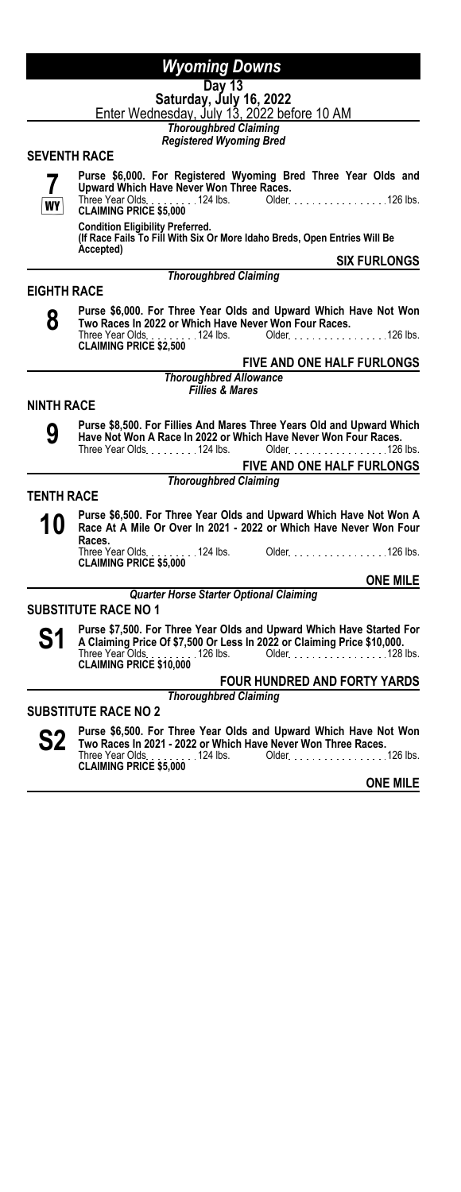# **Day 13**

**Saturday, July 16, 2022** <u>Enter Wednesday, July 13, 2022 before 10 AM</u>

*Thoroughbred Claiming Registered Wyoming Bred*

#### **SEVENTH RACE**

**7 WY** 

**Purse \$6,000. For Registered Wyoming Bred Three Year Olds and Upward Which Have Never Won Three Races.** Older. . . . . . . . . . . . . . . . . 126 lbs. **CLAIMING PRICE \$5,000**<br>**CLAIMING PRICE \$5,000**<br>• CLAIMING PRICE \$5,000

**Condition Eligibility Preferred. (If Race Fails To Fill With Six Or More Idaho Breds, Open Entries Will Be Accepted)**

*Thoroughbred Claiming*

**SIX FURLONGS**

#### **EIGHTH RACE**

**8**

**Purse \$6,000. For Three Year Olds and Upward Which Have Not Won Two Races In 2022 or Which Have Never Won Four Races.** Three Year Olds. . . . . . . . . 124 lbs. Older. . . . . . . . . . . . . . . . . . 126 lbs.<br>**CLAIMING PRICE \$2,500** 

### **FIVE AND ONE HALF FURLONGS**

*Thoroughbred Allowance Fillies & Mares*

#### **NINTH RACE**

**9**

**Purse \$8,500. For Fillies And Mares Three Years Old and Upward Which Have Not Won A Race In 2022 or Which Have Never Won Four Races.** Older New York 126 lbs.

|             |                              | <b>FIVE AND ONE HALF FURLONGS</b> |
|-------------|------------------------------|-----------------------------------|
|             | <b>Thoroughbred Claiming</b> |                                   |
| <b>RACE</b> |                              |                                   |

- **TENTH** 
	- **10 Purse \$6,500. For Three Year Olds and Upward Which Have Not Won A**<br>**10 Race At A Mile Or Over In 2021 2022 or Which Have Never Won Four Race At A Mile Or Over In 2021 - 2022 or Which Have Never Won Four Races.** Three Year Olds <sub>- - - - - - -</sub> - 124 lbs. Older <sub>- - -</sub> - - - - - - - - - - - - - - 126 lbs.<br>**CLAIMING PRICE \$5,000**

**ONE MILE**

#### *Quarter Horse Starter Optional Claiming*

**SUBSTITUTE RACE NO 1**

**S1** Purse \$7,500. For Three Year Olds and Upward Which Have Started For<br>
The Claiming Price Of \$7,500 Or Less In 2022 or Claiming Price \$10,000.<br>
These Year Olds: the Claiming Price \$10,000. **Three Year Older 126 lbs.** Older 128 lbs. 2014 128 lbs. Three Year Olds<br>**CLAIMING PRICE \$10,000** 

# **FOUR HUNDRED AND FORTY YARDS**

# *Thoroughbred Claiming*

**SUBSTITUTE RACE NO 2**

**S2 Purse \$6,500. For Three Year Olds and Upward Which Have Not Won Two Races In 2021 - 2022 or Which Have Never Won Three Races.** Three Year Olds 124 lbs. Older 126 lbs. **CLAIMING PRICE \$5,000**<br>CLAIMING PRICE \$5,000

**ONE MILE**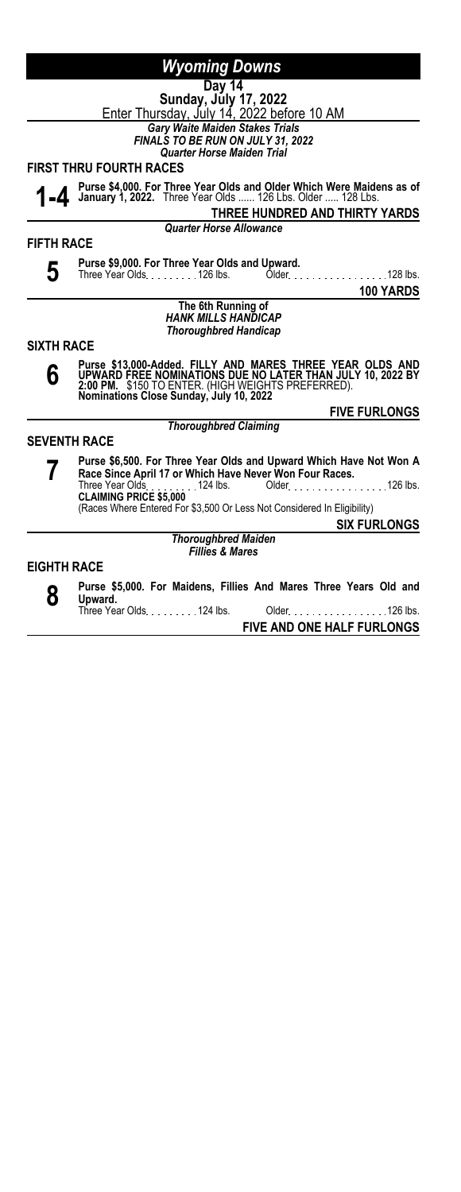|                     | Wyoming Downs                                                                                                                                                                                                                                                                                                  |
|---------------------|----------------------------------------------------------------------------------------------------------------------------------------------------------------------------------------------------------------------------------------------------------------------------------------------------------------|
|                     | Day 14                                                                                                                                                                                                                                                                                                         |
|                     | Sunday, July 17, 2022<br>Enter Thursday, July 14, 2022 before 10 AM                                                                                                                                                                                                                                            |
|                     | <b>Gary Waite Maiden Stakes Trials</b>                                                                                                                                                                                                                                                                         |
|                     | <b>FINALS TO BE RUN ON JULY 31, 2022</b>                                                                                                                                                                                                                                                                       |
|                     | <b>Quarter Horse Maiden Trial</b>                                                                                                                                                                                                                                                                              |
|                     | <b>FIRST THRU FOURTH RACES</b>                                                                                                                                                                                                                                                                                 |
|                     | Purse \$4,000. For Three Year Olds and Older Which Were Maidens as of January 1, 2022. Three Year Olds  126 Lbs. Older  128 Lbs.                                                                                                                                                                               |
|                     | THREE HUNDRED AND THIRTY YARDS                                                                                                                                                                                                                                                                                 |
|                     | <b>Quarter Horse Allowance</b>                                                                                                                                                                                                                                                                                 |
| <b>FIFTH RACE</b>   |                                                                                                                                                                                                                                                                                                                |
| 5.                  | Purse \$9,000. For Three Year Olds and Upward.                                                                                                                                                                                                                                                                 |
|                     | Three Year Olds. 126 lbs. Older. 128 lbs.                                                                                                                                                                                                                                                                      |
|                     | 100 YARDS                                                                                                                                                                                                                                                                                                      |
|                     | The 6th Running of<br><b>HANK MILLS HANDICAP</b>                                                                                                                                                                                                                                                               |
|                     | <b>Thoroughbred Handicap</b>                                                                                                                                                                                                                                                                                   |
| <b>SIXTH RACE</b>   |                                                                                                                                                                                                                                                                                                                |
|                     |                                                                                                                                                                                                                                                                                                                |
| 6                   | Purse \$13,000-Added. FILLY AND MARES THREE YEAR OLDS AND<br>UPWARD FREE NOMINATIONS DUE NO LATER THAN JULY 10, 2022 BY<br>2:00 PM., \$150 TO ENTER. (HIGH WEIGHTS PREFERRED).<br>Nominations Close Sunday, July 10, 2022                                                                                      |
|                     | <b>FIVE FURLONGS</b>                                                                                                                                                                                                                                                                                           |
|                     | <b>Thoroughbred Claiming</b>                                                                                                                                                                                                                                                                                   |
| <b>SEVENTH RACE</b> |                                                                                                                                                                                                                                                                                                                |
|                     | Purse \$6,500. For Three Year Olds and Upward Which Have Not Won A<br>Race Since April 17 or Which Have Never Won Four Races.<br>126 lbs.<br>Three Year Olds 124 lbs.<br>$Older_1, \ldots, \ldots$<br><b>CLAIMING PRICE \$5,000</b><br>(Races Where Entered For \$3,500 Or Less Not Considered In Eligibility) |
|                     | <b>SIX FURLONGS</b>                                                                                                                                                                                                                                                                                            |
|                     | <b>Thoroughbred Maiden</b><br><b>Fillies &amp; Mares</b>                                                                                                                                                                                                                                                       |
| <b>EIGHTH RACE</b>  |                                                                                                                                                                                                                                                                                                                |
|                     |                                                                                                                                                                                                                                                                                                                |
| 8                   | Purse \$5,000. For Maidens, Fillies And Mares Three Years Old and<br>Upward.                                                                                                                                                                                                                                   |
|                     | Three Year Olds 124 lbs.<br>Older<br>$126$ lbs.                                                                                                                                                                                                                                                                |
|                     | FIVE AND ONE HALF FURLONGS                                                                                                                                                                                                                                                                                     |
|                     |                                                                                                                                                                                                                                                                                                                |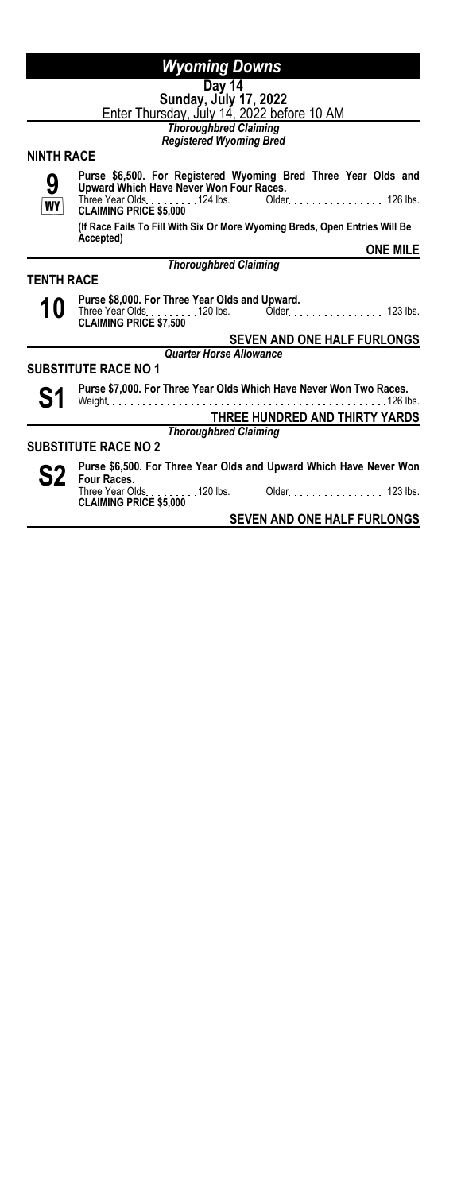|                   | <b>Wyoming Downs</b>                                                                                                         |  |
|-------------------|------------------------------------------------------------------------------------------------------------------------------|--|
|                   | Day 14                                                                                                                       |  |
|                   |                                                                                                                              |  |
|                   | Sunday, July 17, 2022<br>Enter Thursday, July 14, 2022 before 10 AM                                                          |  |
|                   | <b>Thoroughbred Claiming</b>                                                                                                 |  |
|                   | <b>Registered Wyoming Bred</b>                                                                                               |  |
| <b>NINTH RACE</b> |                                                                                                                              |  |
| 9                 | Purse \$6,500. For Registered Wyoming Bred Three Year Olds and<br>Upward Which Have Never Won Four Races.                    |  |
| WY                | Three Year Olds. 124 lbs. Older. 126 lbs.<br><b>CLAIMING PRICE \$5,000</b>                                                   |  |
|                   | (If Race Fails To Fill With Six Or More Wyoming Breds, Open Entries Will Be<br>Accepted)                                     |  |
|                   | <b>ONE MILE</b>                                                                                                              |  |
|                   | <b>Thoroughbred Claiming</b>                                                                                                 |  |
| TENTH RACE        |                                                                                                                              |  |
| 10                | Purse \$8,000. For Three Year Olds and Upward.<br>Three Year Olds. 120 lbs. Older. 123 lbs.<br><b>CLAIMING PRICE \$7.500</b> |  |
|                   | <b>SEVEN AND ONE HALF FURLONGS</b>                                                                                           |  |
|                   | <b>Quarter Horse Allowance</b>                                                                                               |  |
|                   | <b>SUBSTITUTE RACE NO 1</b>                                                                                                  |  |
| S1                | Purse \$7,000. For Three Year Olds Which Have Never Won Two Races.<br>126 lbs.<br>Weight                                     |  |
|                   | THREE HUNDRED AND THIRTY YARDS                                                                                               |  |
|                   | <b>Thoroughbred Claiming</b>                                                                                                 |  |
|                   | <b>SUBSTITUTE RACE NO 2</b>                                                                                                  |  |
|                   | Purse \$6,500. For Three Year Olds and Upward Which Have Never Won                                                           |  |
|                   | <b>S2</b> Four Races.<br><b>CLAIMING PRICE \$5,000</b>                                                                       |  |
|                   |                                                                                                                              |  |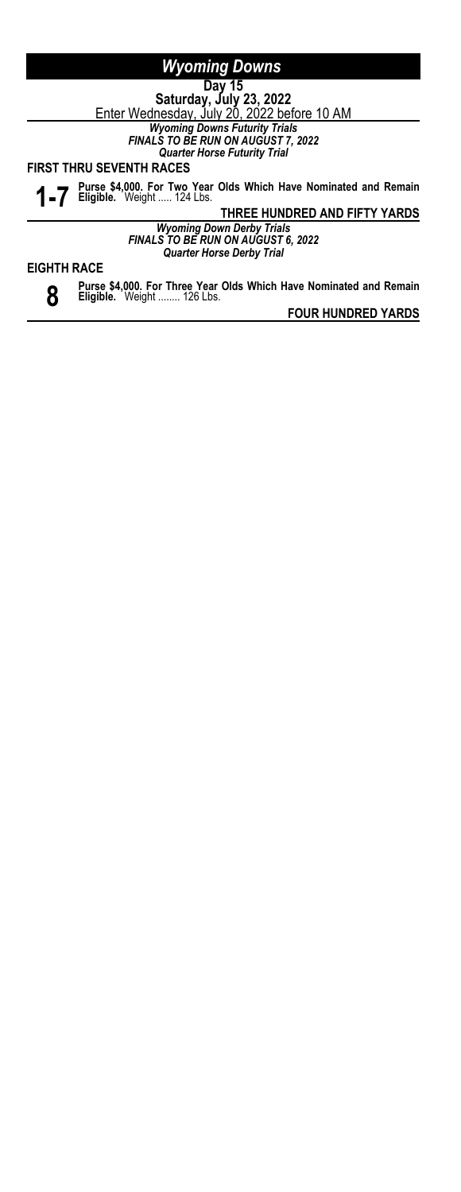**Day 15 Saturday, July 23, 2022**

<u>Enter Wednesday, July 20, 2022 before 10 AM</u>

*Wyoming Downs Futurity Trials FINALS TO BE RUN ON AUGUST 7, 2022*

*Quarter Horse Futurity Trial*

**FIRST THRU SEVENTH RACES**

**1-7 Purse \$4,000. For Two Year Olds Which Have Nominated and Remain Eligible.** Weight ..... 124 Lbs.

**THREE HUNDRED AND FIFTY YARDS**

*Wyoming Down Derby Trials FINALS TO BE RUN ON AUGUST 6, 2022 Quarter Horse Derby Trial*

# **EIGHTH RACE**

**8 Purse \$4,000. For Three Year Olds Which Have Nominated and Remain Eligible.** Weight ........ 126 Lbs.

**FOUR HUNDRED YARDS**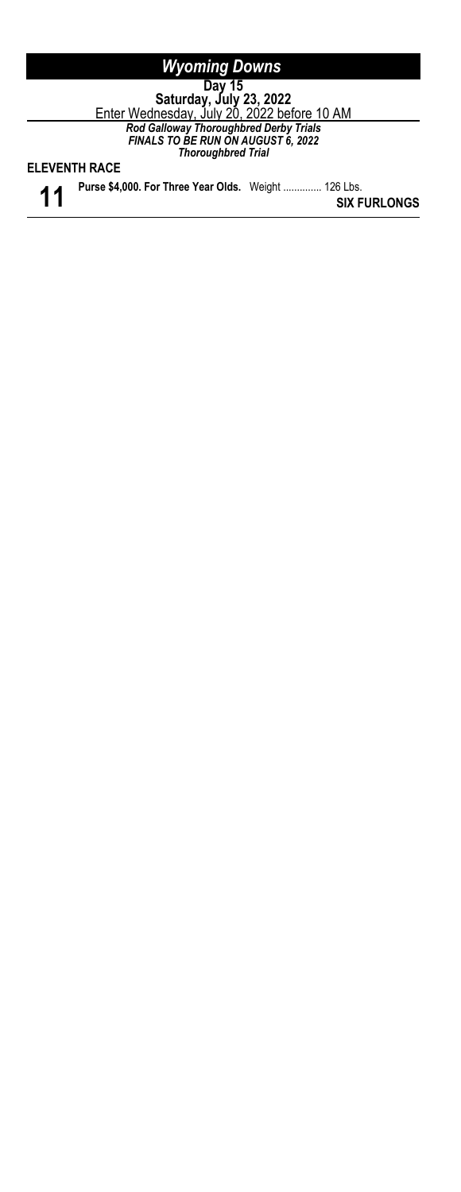| <b>Wyoming Downs</b>                                                                                             |                     |
|------------------------------------------------------------------------------------------------------------------|---------------------|
| Dav 15                                                                                                           |                     |
|                                                                                                                  |                     |
| Saturday, July 23, 2022<br>Enter Wednesday, July 20, 2022 before 10 AM                                           |                     |
| Rod Galloway Thoroughbred Derby Trials<br><b>FINALS TO BE RUN ON AUGUST 6, 2022</b><br><b>Thoroughbred Trial</b> |                     |
| <b>ELEVENTH RACE</b>                                                                                             |                     |
| Purse \$4,000. For Three Year Olds. Weight  126 Lbs.                                                             | <b>SIX FURLONGS</b> |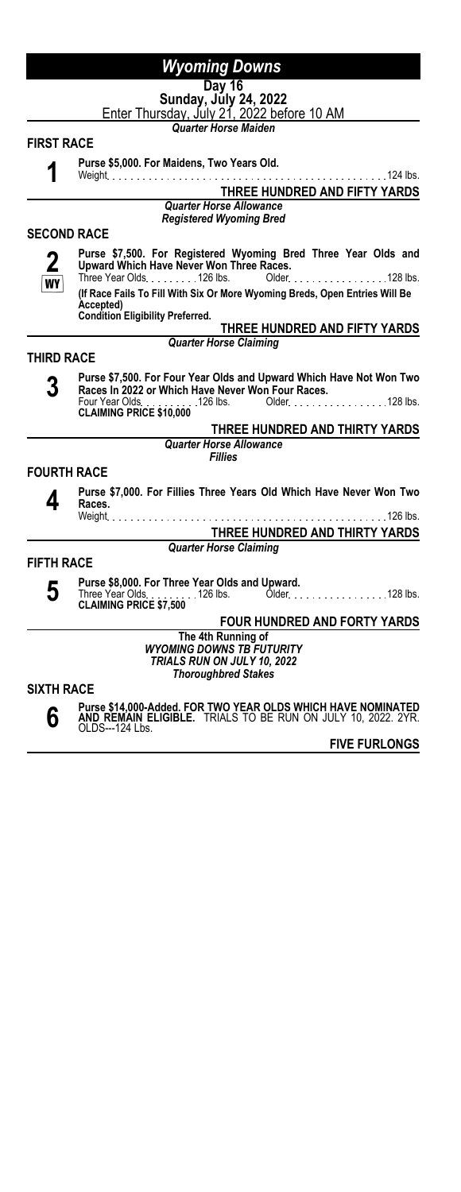#### **Day 16 Sunday, July 24, 2022**

<u>Enter Thursday, July 21, 2022 before 10 AM</u>

*Quarter Horse Maiden*

#### **FIRST RACE**

**1**

**Purse \$5,000. For Maidens, Two Years Old.**

Weight 124 lbs. **THREE HUNDRED AND FIFTY YARDS** *Quarter Horse Allowance*

*Registered Wyoming Bred*

# **SECOND RACE**

**2 WY Purse \$7,500. For Registered Wyoming Bred Three Year Olds and Upward Which Have Never Won Three Races.** Older No. 100 . 128 lbs. **(If Race Fails To Fill With Six Or More Wyoming Breds, Open Entries Will Be**

**Accepted) Condition Eligibility Preferred.**

#### **THREE HUNDRED AND FIFTY YARDS** *Quarter Horse Claiming*

#### **THIRD RACE**

**3 Purse \$7,500. For Four Year Olds and Upward Which Have Not Won Two Races In 2022 or Which Have Never Won Four Races.** Four Year Olds. . . **. . . . . . . 126 lbs. O**lder. . . . . . . . . . . . . . . . . 128 lbs.<br>**CLAIMING PRICE \$10,000** 

### **THREE HUNDRED AND THIRTY YARDS**

*Quarter Horse Allowance Fillies*

#### **FOURTH RACE**

**4**

**Purse \$7,000. For Fillies Three Years Old Which Have Never Won Two Races.** Weight 126 lbs.

# **THREE HUNDRED AND THIRTY YARDS**

#### *Quarter Horse Claiming*

#### **FIFTH RACE**

**5**

**Purse \$8,000. For Three Year Olds and Upward.** Older . . . . . . . . . . . . . . . . . 128 lbs. **Three Year Olds.**<br>**CLAIMING PRICE \$7,500** 

### **FOUR HUNDRED AND FORTY YARDS**

**The 4th Running of** *WYOMING DOWNS TB FUTURITY TRIALS RUN ON JULY 10, 2022 Thoroughbred Stakes*

# **SIXTH RACE**



**Purse \$14,000-Added. FOR TWO YEAR OLDS WHICH HAVE NOMINATED AND REMAIN ELIGIBLE.** TRIALS TO BE RUN ON JULY 10, 2022. 2YR. OLDS---124 Lbs.

**FIVE FURLONGS**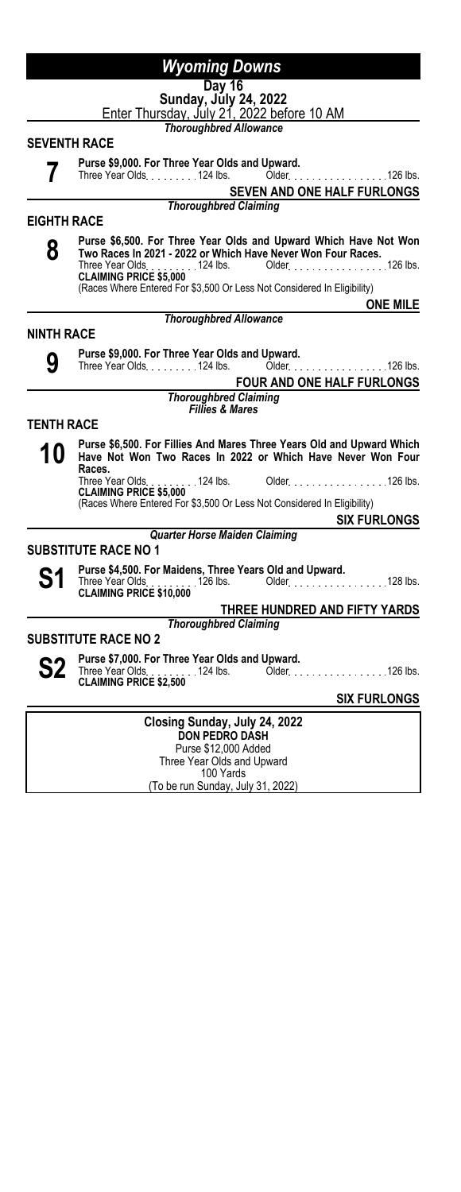#### **Day 16 Sunday, July 24, 2022**

<u>Enter Thursday, July 21, 2022 before 10 AM</u>

*Thoroughbred Allowance*

### **SEVENTH RACE**

- **7**
- **Purse \$9,000. For Three Year Olds and Upward.**

Older New York 126 lbs. **SEVEN AND ONE HALF FURLONGS**

*Thoroughbred Claiming*

### **EIGHTH RACE**

- **8**
- **Purse \$6,500. For Three Year Olds and Upward Which Have Not Won Two Races In 2021 - 2022 or Which Have Never Won Four Races.** Three Year Olds <sub>.</sub> . . . . . . . 124 lbs. Older . . . . . . . . . . . . . . . . . 126 lbs.<br>**CLAIMING PRICE \$5,000**

(Races Where Entered For \$3,500 Or Less Not Considered In Eligibility)

#### *Thoroughbred Allowance*

# **ONE MILE**

- **NINTH RACE 9**
	- **Purse \$9,000. For Three Year Olds and Upward.**

Older . . . . . . . . . . . . . . . . 126 lbs.

**FOUR AND ONE HALF FURLONGS**

#### *Thoroughbred Claiming Fillies & Mares*

# **TENTH RACE**



**10 Purse \$6,500. For Fillies And Mares Three Years Old and Upward Which Have Not Won Two Races In 2022 or Which Have Never Won Four Races.** Older . . . . . . . . . . . . . . . . 126 lbs.

**CLAIMING PRICE \$5,000**<br>**CLAIMING PRICE \$5,000**<br>(Races Where Frit (Races Where Entered For \$3,500 Or Less Not Considered In Eligibility)

**SIX FURLONGS**

#### *Quarter Horse Maiden Claiming*

# **SUBSTITUTE RACE NO 1**



**S1** Purse \$4,500. For Maidens, Three Years Old and Upward.<br>
CLAIMING PRICE \$10,000<br>
CLAIMING PRICE \$10,000

# **THREE HUNDRED AND FIFTY YARDS**

*Thoroughbred Claiming*

### **SUBSTITUTE RACE NO 2**

**S2 Purse \$7,000. For Three Year Olds and Upward.**<br>
CLAIMING PRICE \$2,500<br>
CLAIMING PRICE \$2,500

**SIX FURLONGS**

**Closing Sunday, July 24, 2022 DON PEDRO DASH** Purse \$12,000 Added Three Year Olds and Upward 100 Yards (To be run Sunday, July 31, 2022)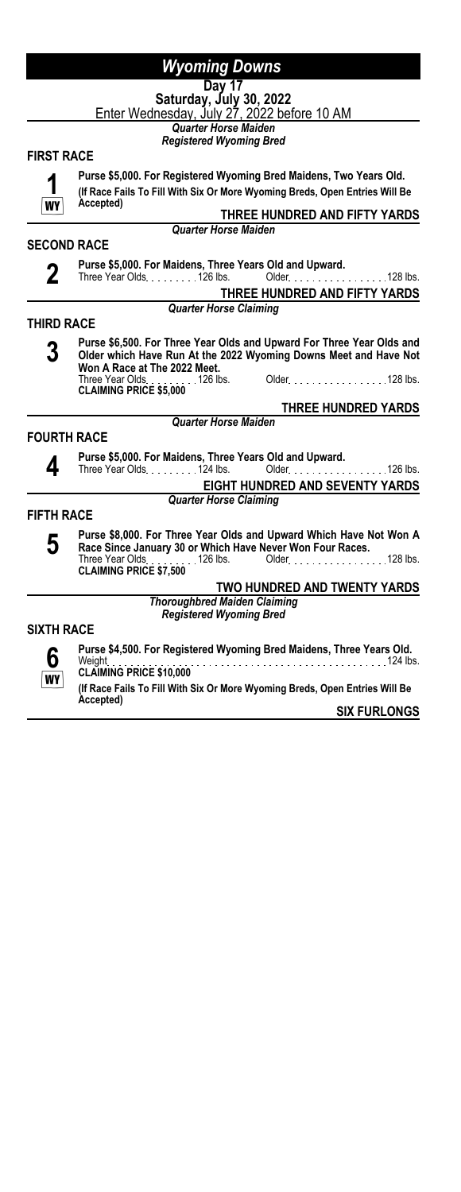### **Day 17 Saturday, July 30, 2022**

<u>Enter Wednesday, July 27, 2022 before 10 AM</u>

*Quarter Horse Maiden Registered Wyoming Bred*

# **FIRST RACE**



**Purse \$5,000. For Registered Wyoming Bred Maidens, Two Years Old. (If Race Fails To Fill With Six Or More Wyoming Breds, Open Entries Will Be**

**THREE HUNDRED AND FIFTY YARDS**

**SECOND RACE**

**Accepted)**

**2**

**Purse \$5,000. For Maidens, Three Years Old and Upward.**

*Quarter Horse Maiden*

Three Year Olds. . . . . . . . . 126 lbs. Older. . . . . . . . . . . . . . . . 128 lbs. **THREE HUNDRED AND FIFTY YARDS**

*Quarter Horse Claiming*

### **THIRD RACE**



**Purse \$6,500. For Three Year Olds and Upward For Three Year Olds and Older which Have Run At the 2022 Wyoming Downs Meet and Have Not Won A Race at The 2022 Meet.** Older. . . . . . . . . . . . . . . . . 128 lbs. **CLAIMING PRICE \$5,000**

### **THREE HUNDRED YARDS**

**FOURTH RACE**

**Purse \$5,000. For Maidens, Three Years Old and Upward.** Older New York 126 lbs.

*Quarter Horse Maiden*

**EIGHT HUNDRED AND SEVENTY YARDS** *Quarter Horse Claiming*

### **FIFTH RACE**



**4**

**Purse \$8,000. For Three Year Olds and Upward Which Have Not Won A Race Since January 30 or Which Have Never Won Four Races.** Three Year Olds <sub>1</sub> . . . . . . . 126 lbs. Older . . . . . . . . . . . . . . . . . 128 lbs.<br>**CLAIMING PRICE \$7,500** 

**TWO HUNDRED AND TWENTY YARDS**

*Thoroughbred Maiden Claiming Registered Wyoming Bred*

### **SIXTH RACE**



**Purse \$4,500. For Registered Wyoming Bred Maidens, Three Years Old.** Weight 124 lbs. **CLAIMING PRICE \$10,000 (If Race Fails To Fill With Six Or More Wyoming Breds, Open Entries Will Be Accepted)**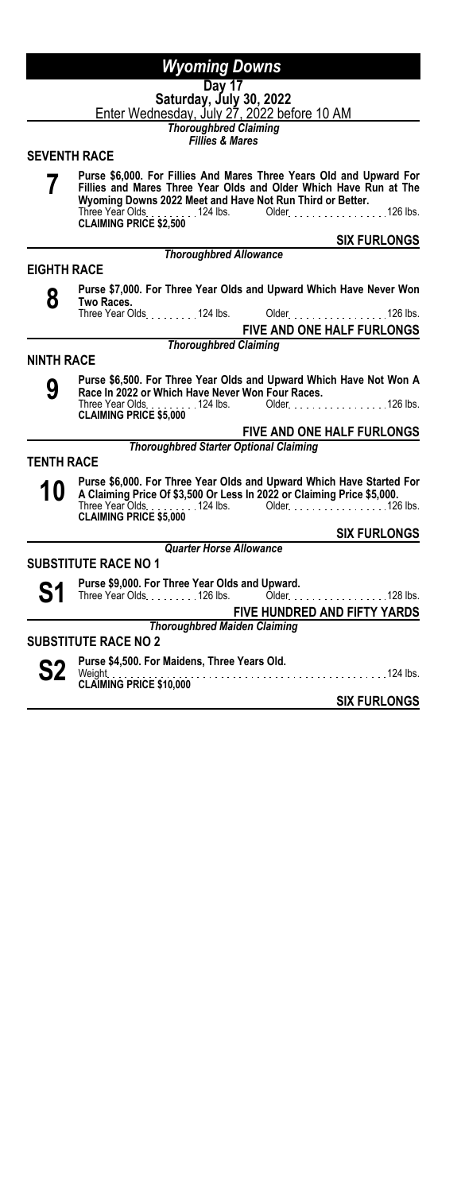#### **Day 17 Saturday, July 30, 2022**

<u>Enter Wednesday, July 27, 2022 before 10 AM</u>

*Thoroughbred Claiming*

*Fillies & Mares*

# **SEVENTH RACE**

|                    | Purse \$6,000. For Fillies And Mares Three Years Old and Upward For<br>Fillies and Mares Three Year Olds and Older Which Have Run at The<br>Wyoming Downs 2022 Meet and Have Not Run Third or Better.<br>Three Year Olds. 124 lbs.<br>Older. 126 lbs.<br><b>CLAIMING PRICE \$2,500</b> |
|--------------------|----------------------------------------------------------------------------------------------------------------------------------------------------------------------------------------------------------------------------------------------------------------------------------------|
|                    | <b>SIX FURLONGS</b>                                                                                                                                                                                                                                                                    |
|                    | <b>Thoroughbred Allowance</b>                                                                                                                                                                                                                                                          |
| <b>EIGHTH RACE</b> |                                                                                                                                                                                                                                                                                        |
| 8                  | Purse \$7,000. For Three Year Olds and Upward Which Have Never Won<br>Two Races.                                                                                                                                                                                                       |
|                    | Three Year Olds. 124 lbs.<br>Older <i>black of the state of the state 126</i> lbs.                                                                                                                                                                                                     |
|                    | FIVE AND ONE HALF FURLONGS                                                                                                                                                                                                                                                             |
|                    | <b>Thoroughbred Claiming</b>                                                                                                                                                                                                                                                           |
| <b>NINTH RACE</b>  |                                                                                                                                                                                                                                                                                        |
| 9                  | Purse \$6,500. For Three Year Olds and Upward Which Have Not Won A<br>Race In 2022 or Which Have Never Won Four Races.                                                                                                                                                                 |
|                    | Three Year Olds. 124 lbs. Older. 126 lbs.<br>CLAIMING PRICE \$5,000                                                                                                                                                                                                                    |
|                    | FIVE AND ONE HALF FURLONGS                                                                                                                                                                                                                                                             |
|                    | <b>Thoroughbred Starter Optional Claiming</b>                                                                                                                                                                                                                                          |
| <b>TENTH RACE</b>  |                                                                                                                                                                                                                                                                                        |
| 10                 | Purse \$6,000. For Three Year Olds and Upward Which Have Started For<br>A Claiming Price Of \$3,500 Or Less In 2022 or Claiming Price \$5,000.<br>Three Year Olds. 124 lbs.<br>Older 126 lbs.<br><b>CLAIMING PRICE \$5,000</b>                                                         |
|                    | <b>SIX FURLONGS</b>                                                                                                                                                                                                                                                                    |
|                    | <b>Quarter Horse Allowance</b>                                                                                                                                                                                                                                                         |
|                    | <b>SUBSTITUTE RACE NO 1</b>                                                                                                                                                                                                                                                            |
|                    | Purse \$9,000. For Three Year Olds and Upward.<br>Three Year Olds. 126 lbs.<br>128 lbs.<br>$Older.$                                                                                                                                                                                    |
|                    | <b>FIVE HUNDRED AND FIFTY YARDS</b>                                                                                                                                                                                                                                                    |
|                    | <b>Thoroughbred Maiden Claiming</b>                                                                                                                                                                                                                                                    |
|                    | <b>SUBSTITUTE RACE NO 2</b>                                                                                                                                                                                                                                                            |
|                    | Purse \$4,500. For Maidens, Three Years Old.                                                                                                                                                                                                                                           |
|                    | Weight<br>CLAIMING PRICE \$10,000                                                                                                                                                                                                                                                      |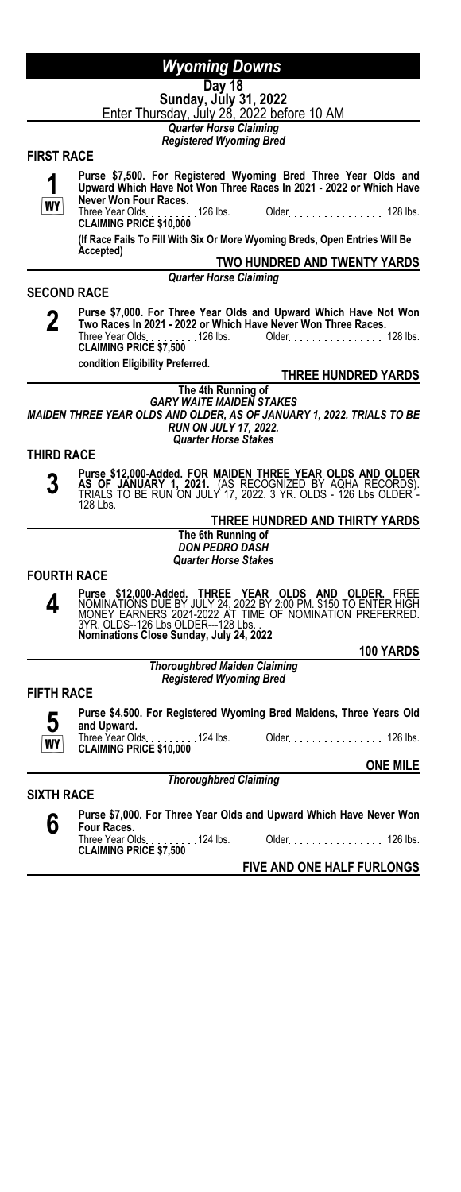# **Day 18**

**Sunday, July 31, 2022** <u>Enter Thursday, July 28, 2022 before 10 AM</u>

*Quarter Horse Claiming Registered Wyoming Bred*

#### **FIRST RACE**

**1 WY Purse \$7,500. For Registered Wyoming Bred Three Year Olds and Upward Which Have Not Won Three Races In 2021 - 2022 or Which Have Never Won Four Races.** Older. . . . . . . . . . . . . . . . . 128 lbs. **CLAIMING PRICE \$10,000**<br>**CLAIMING PRICE \$10,000**<br>(*IF* P **(If Race Fails To Fill With Six Or More Wyoming Breds, Open Entries Will Be Accepted) TWO HUNDRED AND TWENTY YARDS** *Quarter Horse Claiming* **SECOND RACE 2 Purse \$7,000. For Three Year Olds and Upward Which Have Not Won Two Races In 2021 - 2022 or Which Have Never Won Three Races.** Older 128 lbs. Three Year Olds.<br>**CLAIMING PRICE \$7,500**<br>**CLAIMING PRICE \$7,500 condition Eligibility Preferred. THREE HUNDRED YARDS The 4th Running of** *GARY WAITE MAIDEN STAKES MAIDEN THREE YEAR OLDS AND OLDER, AS OF JANUARY 1, 2022. TRIALS TO BE RUN ON JULY 17, 2022. Quarter Horse Stakes* **THIRD RACE 3 Purse \$12,000-Added. FOR MAIDEN THREE YEAR OLDS AND OLDER<br><b>AS OF JANUARY 1, 2021.** (AS RECOGNIZED BY AQHA RECORDS).<br>TRIALS TO BE RUN ON JULY 17, 2022. 3 YR. OLDS - 126 Lbs OLDER -128 Lbs. **THREE HUNDRED AND THIRTY YARDS The 6th Running of** *DON PEDRO DASH Quarter Horse Stakes* **FOURTH RACE 4**

Purse \$12,000-Added. THREE YEAR OLDS AND OLDER. FREE<br>NOMINATIONS DUE BY JULY 24, 2022 BY 2:00 PM. \$150 TO ENTER HIGH<br>MONEY EARNERS 2021-2022 AT TIME OF NOMINATION PREFERRED.<br>3YR. OLDS--126 Lbs OLDER---128 Lbs.<br>Nominations

**100 YARDS**

#### *Thoroughbred Maiden Claiming Registered Wyoming Bred*

#### **FIFTH RACE**



**Purse \$4,500. For Registered Wyoming Bred Maidens, Three Years Old and Upward.** Older No. 100 . 100 . 126 lbs.

**CLAIMING PRICE \$10,000**

#### **ONE MILE**

**SIXTH RACE**

**6 Purse \$7,000. For Three Year Olds and Upward Which Have Never Won Four Races.**<br>Three Year Olds. Three Year Olds <sub>.</sub> . . . . . . . 124 lbs. Older . . . . . . . . . . . . . . . . . 126 lbs.<br>**CLAIMING PRICE \$7,500** 

*Thoroughbred Claiming*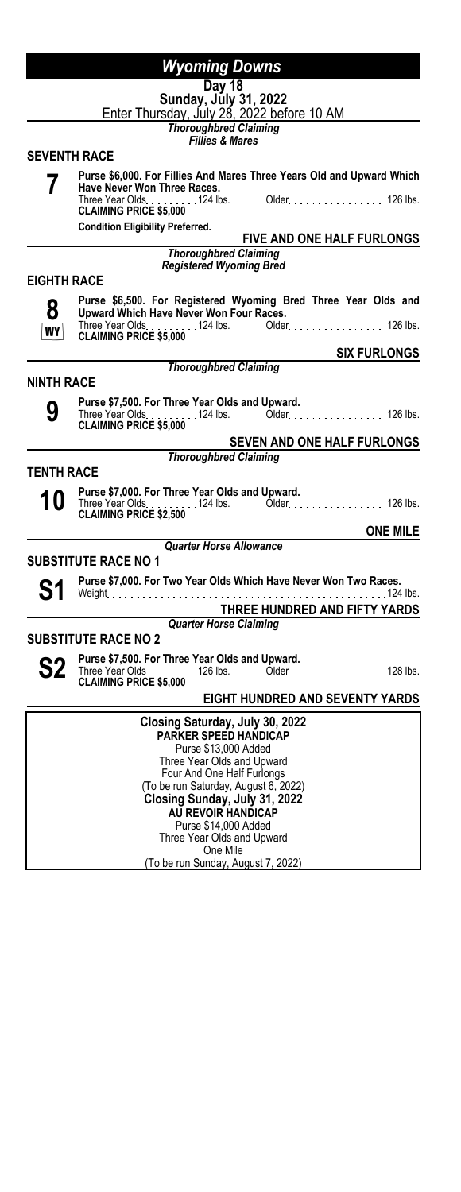|                     | Wyoming Downs                                                                                             |
|---------------------|-----------------------------------------------------------------------------------------------------------|
|                     | <b>Day 18</b>                                                                                             |
|                     | Sunday, July 31, 2022<br>Enter Thursday, July 28, 2022 before 10 AM                                       |
|                     | <b>Thoroughbred Claiming</b>                                                                              |
| <b>SEVENTH RACE</b> | <b>Fillies &amp; Mares</b>                                                                                |
|                     | Purse \$6,000. For Fillies And Mares Three Years Old and Upward Which                                     |
|                     | Have Never Won Three Races.                                                                               |
|                     | Three Year Olds<br>. 124 lbs. Older. 126 lbs.<br><b>CLAIMING PRICE \$5,000</b>                            |
|                     | <b>Condition Eligibility Preferred.</b><br>FIVE AND ONE HALF FURLONGS                                     |
|                     | <b>Thoroughbred Claiming</b>                                                                              |
|                     | <b>Registered Wyoming Bred</b>                                                                            |
| <b>EIGHTH RACE</b>  |                                                                                                           |
| 8                   | Purse \$6,500. For Registered Wyoming Bred Three Year Olds and<br>Upward Which Have Never Won Four Races. |
| WY                  | <b>CLAIMING PRICE \$5,000</b>                                                                             |
|                     | <b>SIX FURLONGS</b>                                                                                       |
|                     | <b>Thoroughbred Claiming</b>                                                                              |
| <b>NINTH RACE</b>   |                                                                                                           |
| 9                   | Purse \$7,500. For Three Year Olds and Upward.                                                            |
|                     | Three Year Olds. 124 lbs. Older. 126 lbs.<br><b>CLAIMING PRICE \$5,000</b>                                |
|                     | <b>SEVEN AND ONE HALF FURLONGS</b>                                                                        |
|                     | <b>Thoroughbred Claiming</b>                                                                              |
| TENTH RACE          |                                                                                                           |
|                     | Purse \$7,000. For Three Year Olds and Upward.                                                            |
|                     |                                                                                                           |
|                     | <b>ONE MILE</b><br><b>Quarter Horse Allowance</b>                                                         |
|                     | <b>SUBSTITUTE RACE NO 1</b>                                                                               |
|                     | Purse \$7,000. For Two Year Olds Which Have Never Won Two Races.                                          |
|                     | Weight                                                                                                    |
|                     | THREE HUNDRED AND FIFTY YARDS                                                                             |
|                     | <b>Quarter Horse Claiming</b><br><b>SUBSTITUTE RACE NO 2</b>                                              |
|                     | Purse \$7,500. For Three Year Olds and Upward.                                                            |
|                     |                                                                                                           |
|                     | <b>CLAIMING PRICE \$5,000</b>                                                                             |
|                     | <b>EIGHT HUNDRED AND SEVENTY YARDS</b>                                                                    |
|                     | Closing Saturday, July 30, 2022<br><b>PARKER SPEED HANDICAP</b>                                           |
|                     | Purse \$13,000 Added                                                                                      |
|                     | Three Year Olds and Upward                                                                                |
|                     | Four And One Half Furlongs<br>(To be run Saturday, August 6, 2022)                                        |
|                     | Closing Sunday, July 31, 2022                                                                             |
|                     | AU REVOIR HANDICAP                                                                                        |
|                     | Purse \$14,000 Added<br>Three Year Olds and Upward                                                        |

One Mile

(To be run Sunday, August 7, 2022)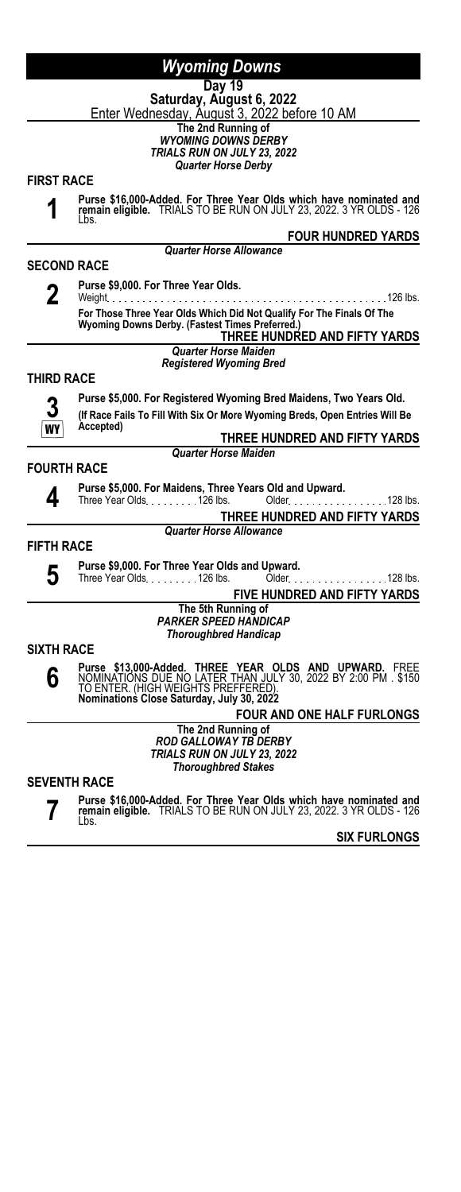**Day 19**

**Saturday, August 6, 2022** Enter Wednesday, August 3, 2022 before 10 AM

**The 2nd Running of**

*WYOMING DOWNS DERBY TRIALS RUN ON JULY 23, 2022*

*Quarter Horse Derby*

# **FIRST RACE**

**1**

**Purse \$16,000-Added. For Three Year Olds which have nominated and remain eligible.** TRIALS TO BE RUN ON JULY 23, 2022. 3 YR OLDS - 126

#### *Quarter Horse Allowance*

**FOUR HUNDRED YARDS**

### **SECOND RACE**

Lbs.

**2**

**Purse \$9,000. For Three Year Olds.** Weight 126 lbs. **For Those Three Year Olds Which Did Not Qualify For The Finals Of The Wyoming Downs Derby. (Fastest Times Preferred.) THREE HUNDRED AND FIFTY YARDS**

*Quarter Horse Maiden*

*Registered Wyoming Bred*

### **THIRD RACE**



**Purse \$5,000. For Registered Wyoming Bred Maidens, Two Years Old. (If Race Fails To Fill With Six Or More Wyoming Breds, Open Entries Will Be Accepted)**

**THREE HUNDRED AND FIFTY YARDS** *Quarter Horse Maiden*

### **FOURTH RACE**



**Purse \$5,000. For Maidens, Three Years Old and Upward.** Older 128 lbs.

# **THREE HUNDRED AND FIFTY YARDS**

*Quarter Horse Allowance*

# **FIFTH RACE**

**5**

**Purse \$9,000. For Three Year Olds and Upward.**<br>Three Year Olds. . . . . . . . . 126 lbs. Older. . . . . . . . . . . . . . . . 128 lbs.

**FIVE HUNDRED AND FIFTY YARDS**

#### **The 5th Running of** *PARKER SPEED HANDICAP Thoroughbred Handicap*

### **SIXTH RACE**

**6 Purse \$13,000-Added. THREE YEAR OLDS AND UPWARD.** FREE<br>NOMINATIONS DUE NO LATER THAN JULY 30, 2022 BY 2:00 PM . \$150<br>TO ENTER. (HIGH WEIGHTS PREFFERED).<br>**Nominations Close Saturday, July 30, 2022** 

# **FOUR AND ONE HALF FURLONGS**

**The 2nd Running of** *ROD GALLOWAY TB DERBY TRIALS RUN ON JULY 23, 2022 Thoroughbred Stakes*

### **SEVENTH RACE**

**7**

**Purse \$16,000-Added. For Three Year Olds which have nominated and remain eligible.** TRIALS TO BE RUN ON JULY 23, 2022. 3 YR OLDS - 126 Lbs.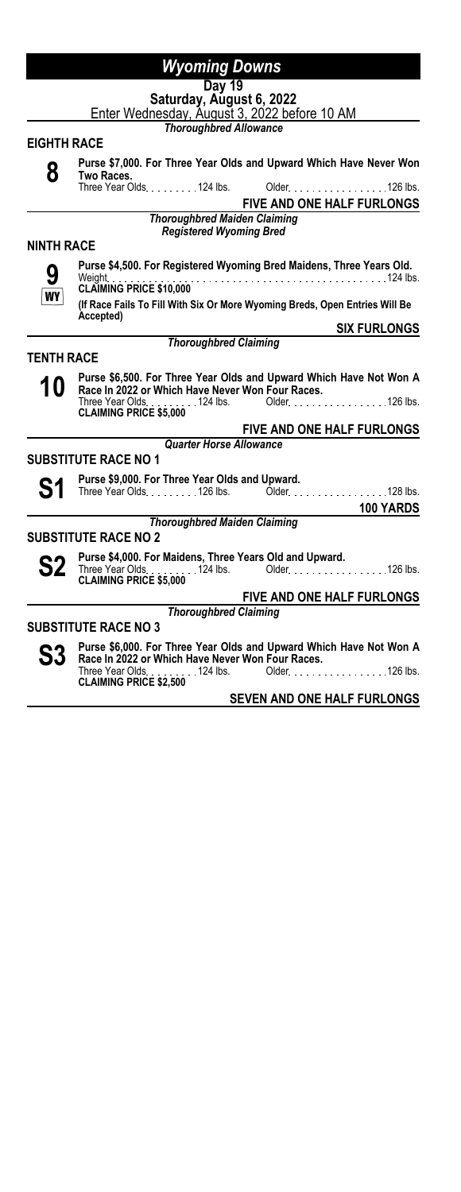**Day 19**

**Saturday, August 6, 2022** Enter Wednesday, August 3, 2022 before 10 AM

*Thoroughbred Allowance*

### **EIGHTH RACE**

| Purse \$7,000. For Three Year Olds and Upward Which Have Never Won<br>Two Races. |                                |  |                                   |  |
|----------------------------------------------------------------------------------|--------------------------------|--|-----------------------------------|--|
| Three Year Olds. 124 lbs. Older. 126 lbs.                                        |                                |  |                                   |  |
|                                                                                  |                                |  | <b>FIVE AND ONE HALF FURLONGS</b> |  |
| <b>Thoroughbred Maiden Claiming</b>                                              |                                |  |                                   |  |
|                                                                                  | <b>Registered Wyoming Bred</b> |  |                                   |  |

#### **NINTH RACE**

**9 Purse \$4,500. For Registered Wyoming Bred Maidens, Three Years Old.** Weight 124 lbs. **CLAIMING PRICE \$10,000**

**(If Race Fails To Fill With Six Or More Wyoming Breds, Open Entries Will Be Accepted) SIX FURLONGS**

*Thoroughbred Claiming*

### **TENTH RACE**

**10 Purse \$6,500. For Three Year Olds and Upward Which Have Not Won A**<br>**Race In 2022 or Which Have Never Won Four Races.**<br>Three Year Olds Three Year Olds <sub>1</sub> . . . . . . . 124 lbs. Older . . . . . . . . . . . . . . . . . 126 lbs.<br>**CLAIMING PRICE \$5,000** 

### **FIVE AND ONE HALF FURLONGS**

*Quarter Horse Allowance*

# **SUBSTITUTE RACE NO 1**

**S1 Purse \$9,000. For Three Year Olds and Upward.**<br>126 lbs. **S100 Clubs.** Mate

Older 128 lbs.

**100 YARDS**

#### *Thoroughbred Maiden Claiming*

# **SUBSTITUTE RACE NO 2**

**S2 Purse \$4,000. For Maidens, Three Years Old and Upward.**<br>
CLAIMING PRICE \$5,000<br>
CLAIMING PRICE \$5,000

#### **FIVE AND ONE HALF FURLONGS** *Thoroughbred Claiming*

# **SUBSTITUTE RACE NO 3**

**S3 Purse \$6,000. For Three Year Olds and Upward Which Have Not Won A Race In 2022 or Which Have Never Won Four Races.** Older. . . . . . . . . . . . . . . . . 126 lbs. **CLAIMING PRICE \$2,500**<br>CLAIMING PRICE \$2,500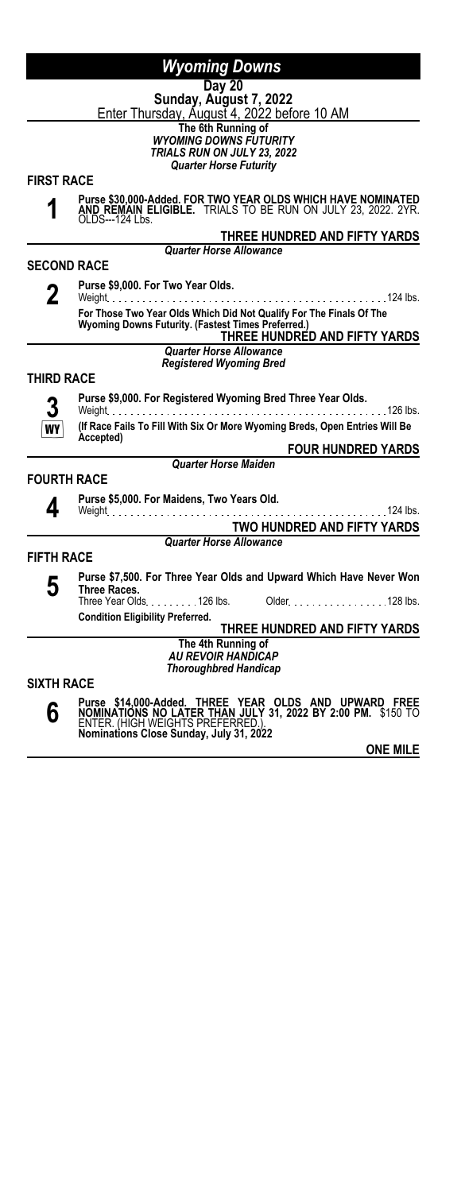# **Day 20**

**Sunday, August 7, 2022** <u>Enter Thursday, August 4, 2022 before 10 AM</u>

**The 6th Running of**

*WYOMING DOWNS FUTURITY TRIALS RUN ON JULY 23, 2022 Quarter Horse Futurity*

**FIRST RACE**

**1**

**Purse \$30,000-Added. FOR TWO YEAR OLDS WHICH HAVE NOMINATED AND REMAIN ELIGIBLE.** TRIALS TO BE RUN ON JULY 23, 2022. 2YR. OLDS---124 Lbs.

**THREE HUNDRED AND FIFTY YARDS**

**FOUR HUNDRED YARDS**

*Quarter Horse Allowance*

**SECOND RACE**

**2**

**Purse \$9,000. For Two Year Olds.** Weight 124 lbs. **For Those Two Year Olds Which Did Not Qualify For The Finals Of The Wyoming Downs Futurity. (Fastest Times Preferred.) THREE HUNDRED AND FIFTY YARDS**

*Quarter Horse Allowance Registered Wyoming Bred*

### **THIRD RACE**

**3** WY

**4**

**Purse \$9,000. For Registered Wyoming Bred Three Year Olds.** . . . . . . . . . . . . . .

**(If Race Fails To Fill With Six Or More Wyoming Breds, Open Entries Will Be Accepted)**

**FOURTH RACE**

**Purse \$5,000. For Maidens, Two Years Old.**

Weight 124 lbs. **TWO HUNDRED AND FIFTY YARDS**

*Quarter Horse Maiden*

*Quarter Horse Allowance*

# **FIFTH RACE**

**5 Purse \$7,500. For Three Year Olds and Upward Which Have Never Won Three Races.** 128 lbs.<br>Three Year Olds. . . . . . . . . 126 lbs. Older. . . . . . . . . . . . . . . . . 128 lbs.

**Condition Eligibility Preferred.**

**THREE HUNDRED AND FIFTY YARDS The 4th Running of**

*AU REVOIR HANDICAP Thoroughbred Handicap*

**SIXTH RACE**

**6**

Purse \$14,000-Added. THREE YEAR OLDS AND UPWARD FREE<br>NOMINATIONS NO LATER THAN JULY 31, 2022 BY 2:00 PM. \$150 TO<br>ENTER.(HIGH WEIGHTS PREFERRED.)<br>Nominations Close Sunday, July 31, 2022

**ONE MILE**